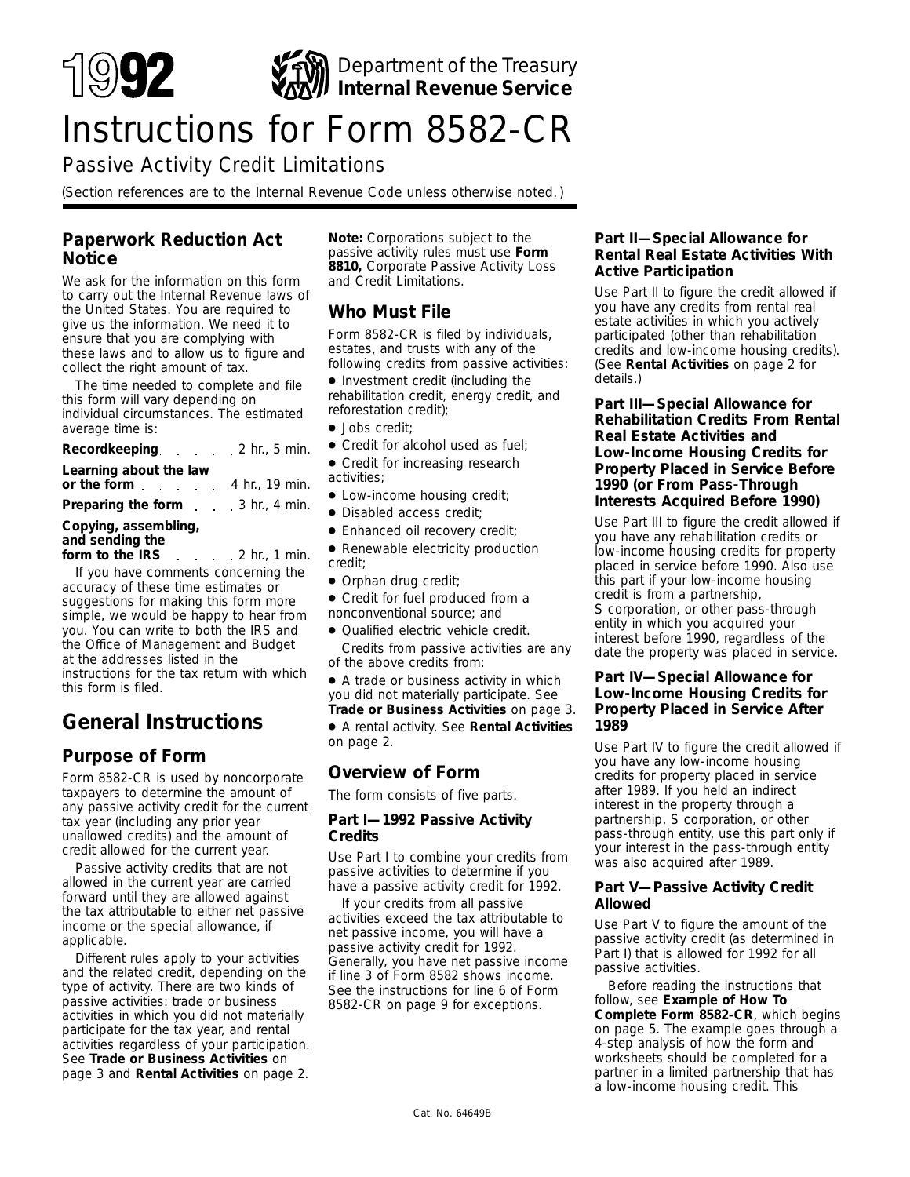

# Instructions for Form 8582-CR

# Passive Activity Credit Limitations

*(Section references are to the Internal Revenue Code unless otherwise noted. )*

# **Paperwork Reduction Act Notice**

We ask for the information on this form to carry out the Internal Revenue laws of the United States. You are required to give us the information. We need it to ensure that you are complying with these laws and to allow us to figure and collect the right amount of tax.

The time needed to complete and file this form will vary depending on individual circumstances. The estimated average time is:

| Recordkeeping 2 hr., 5 min.                                   |  |  |
|---------------------------------------------------------------|--|--|
| Learning about the law<br>or the form $\ldots$ 4 hr., 19 min. |  |  |
| <b>Preparing the form</b> 3 hr., 4 min.                       |  |  |
| Copying, assembling,                                          |  |  |

#### **and sending the**

**form to the IRS** 2 hr., 1 min. If you have comments concerning the accuracy of these time estimates or suggestions for making this form more simple, we would be happy to hear from you. You can write to both the IRS and the Office of Management and Budget at the addresses listed in the instructions for the tax return with which this form is filed.

# **General Instructions**

# **Purpose of Form**

Form 8582-CR is used by noncorporate taxpayers to determine the amount of any passive activity credit for the current tax year (including any prior year unallowed credits) and the amount of credit allowed for the current year.

Passive activity credits that are not allowed in the current year are carried forward until they are allowed against the tax attributable to either net passive income or the special allowance, if applicable.

Different rules apply to your activities and the related credit, depending on the type of activity. There are two kinds of passive activities: trade or business activities in which you did not materially participate for the tax year, and rental activities regardless of your participation. See **Trade or Business Activities** on page 3 and **Rental Activities** on page 2.

**Note:** *Corporations subject to the passive activity rules must use Form 8810, Corporate Passive Activity Loss and Credit Limitations.*

# **Who Must File**

Form 8582-CR is filed by individuals, estates, and trusts with any of the following credits from passive activities:

- Investment credit (including the rehabilitation credit, energy credit, and reforestation credit);
- Jobs credit;
- Credit for alcohol used as fuel:
- Credit for increasing research activities;
- Low-income housing credit;
- Disabled access credit;
- Enhanced oil recovery credit;
- Renewable electricity production credit;
- Orphan drug credit;

● Credit for fuel produced from a nonconventional source; and

● Qualified electric vehicle credit. Credits from passive activities are any of the above credits from:

● A trade or business activity in which you did not materially participate. See **Trade or Business Activities** on page 3.

● A rental activity. See **Rental Activities** on page 2.

# **Overview of Form**

The form consists of five parts.

#### **Part I—1992 Passive Activity Credits**

Use Part I to combine your credits from passive activities to determine if you have a passive activity credit for 1992.

If your credits from all passive activities exceed the tax attributable to net passive income, you will have a passive activity credit for 1992. Generally, you have net passive income if line 3 of Form 8582 shows income. See the instructions for line 6 of Form 8582-CR on page 9 for exceptions.

#### **Part II—Special Allowance for Rental Real Estate Activities With Active Participation**

Use Part II to figure the credit allowed if you have any credits from rental real estate activities in which you actively participated (other than rehabilitation credits and low-income housing credits). (See **Rental Activities** on page 2 for details.)

#### **Part III—Special Allowance for Rehabilitation Credits From Rental Real Estate Activities and Low-Income Housing Credits for Property Placed in Service Before 1990 (or From Pass-Through Interests Acquired Before 1990)**

Use Part III to figure the credit allowed if you have any rehabilitation credits or low-income housing credits for property placed in service before 1990. Also use this part if your low-income housing credit is from a partnership, S corporation, or other pass-through entity in which you acquired your interest before 1990, regardless of the date the property was placed in service.

#### **Part IV—Special Allowance for Low-Income Housing Credits for Property Placed in Service After 1989**

Use Part IV to figure the credit allowed if you have any low-income housing credits for property placed in service after 1989. If you held an indirect interest in the property through a partnership, S corporation, or other pass-through entity, use this part only if your interest in the pass-through entity was also acquired after 1989.

#### **Part V—Passive Activity Credit Allowed**

Use Part V to figure the amount of the passive activity credit (as determined in Part I) that is allowed for 1992 for all passive activities.

Before reading the instructions that follow, see **Example of How To Complete Form 8582-CR**, which begins on page 5. The example goes through a 4-step analysis of how the form and worksheets should be completed for a partner in a limited partnership that has a low-income housing credit. This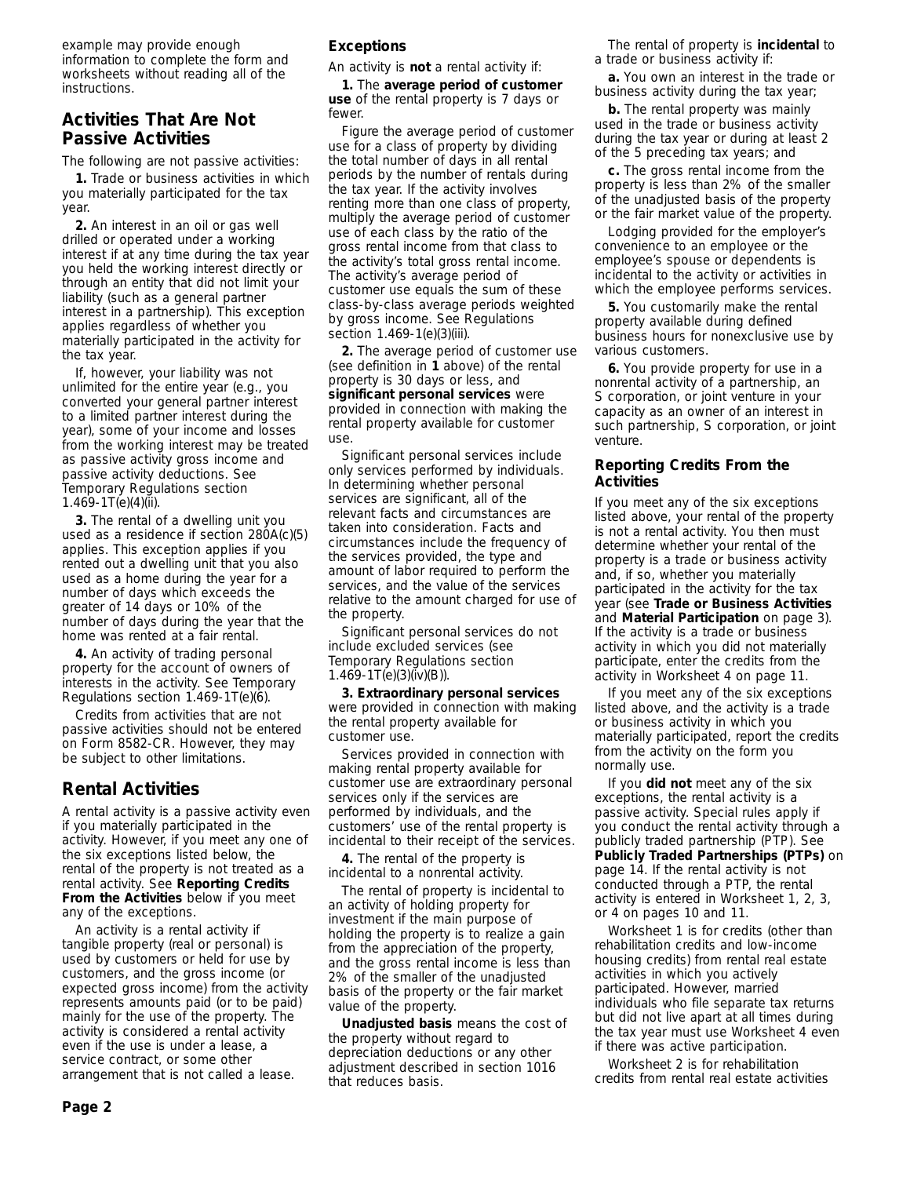example may provide enough information to complete the form and worksheets without reading all of the instructions.

# **Activities That Are Not Passive Activities**

The following are not passive activities:

**1.** Trade or business activities in which you materially participated for the tax year.

**2.** An interest in an oil or gas well drilled or operated under a working interest if at any time during the tax year you held the working interest directly or through an entity that did not limit your liability (such as a general partner interest in a partnership). This exception applies regardless of whether you materially participated in the activity for the tax year.

If, however, your liability was not unlimited for the entire year (e.g., you converted your general partner interest to a limited partner interest during the year), some of your income and losses from the working interest may be treated as passive activity gross income and passive activity deductions. See Temporary Regulations section 1.469-1T(e)(4)(ii).

**3.** The rental of a dwelling unit you used as a residence if section 280A(c)(5) applies. This exception applies if you rented out a dwelling unit that you also used as a home during the year for a number of days which exceeds the greater of 14 days or 10% of the number of days during the year that the home was rented at a fair rental.

**4.** An activity of trading personal property for the account of owners of interests in the activity. See Temporary Regulations section 1.469-1T(e)(6).

Credits from activities that are not passive activities should not be entered on Form 8582-CR. However, they may be subject to other limitations.

# **Rental Activities**

A rental activity is a passive activity even if you materially participated in the activity. However, if you meet any one of the six exceptions listed below, the rental of the property is not treated as a rental activity. See **Reporting Credits From the Activities** below if you meet any of the exceptions.

An activity is a rental activity if tangible property (real or personal) is used by customers or held for use by customers, and the gross income (or expected gross income) from the activity represents amounts paid (or to be paid) mainly for the use of the property. The activity is considered a rental activity even if the use is under a lease, a service contract, or some other arrangement that is not called a lease.

## **Exceptions**

An activity is **not** a rental activity if:

**1.** The **average period of customer use** of the rental property is 7 days or fewer

Figure the average period of customer use for a class of property by dividing the total number of days in all rental periods by the number of rentals during the tax year. If the activity involves renting more than one class of property, multiply the average period of customer use of each class by the ratio of the gross rental income from that class to the activity's total gross rental income. The activity's average period of customer use equals the sum of these class-by-class average periods weighted by gross income. See Regulations section 1.469-1(e)(3)(iii).

**2.** The average period of customer use (see definition in **1** above) of the rental property is 30 days or less, and **significant personal services** were provided in connection with making the rental property available for customer use.

Significant personal services include only services performed by individuals. In determining whether personal services are significant, all of the relevant facts and circumstances are taken into consideration. Facts and circumstances include the frequency of the services provided, the type and amount of labor required to perform the services, and the value of the services relative to the amount charged for use of the property.

Significant personal services do not include excluded services (see Temporary Regulations section 1.469-1T(e)(3)(iv)(B)).

**3. Extraordinary personal services** were provided in connection with making the rental property available for customer use.

Services provided in connection with making rental property available for customer use are extraordinary personal services only if the services are performed by individuals, and the customers' use of the rental property is incidental to their receipt of the services.

**4.** The rental of the property is incidental to a nonrental activity.

The rental of property is incidental to an activity of holding property for investment if the main purpose of holding the property is to realize a gain from the appreciation of the property, and the gross rental income is less than 2% of the smaller of the unadjusted basis of the property or the fair market value of the property.

**Unadjusted basis** means the cost of the property without regard to depreciation deductions or any other adjustment described in section 1016 that reduces basis.

The rental of property is **incidental** to a trade or business activity if:

**a.** You own an interest in the trade or business activity during the tax year;

**b.** The rental property was mainly used in the trade or business activity during the tax year or during at least 2 of the 5 preceding tax years; and

**c.** The gross rental income from the property is less than 2% of the smaller of the unadjusted basis of the property or the fair market value of the property.

Lodging provided for the employer's convenience to an employee or the employee's spouse or dependents is incidental to the activity or activities in which the employee performs services.

**5.** You customarily make the rental property available during defined business hours for nonexclusive use by various customers.

**6.** You provide property for use in a nonrental activity of a partnership, an S corporation, or joint venture in your capacity as an owner of an interest in such partnership, S corporation, or joint venture.

#### **Reporting Credits From the Activities**

If you meet any of the six exceptions listed above, your rental of the property is not a rental activity. You then must determine whether your rental of the property is a trade or business activity and, if so, whether you materially participated in the activity for the tax year (see **Trade or Business Activities** and **Material Participation** on page 3). If the activity is a trade or business activity in which you did not materially participate, enter the credits from the activity in Worksheet 4 on page 11.

If you meet any of the six exceptions listed above, and the activity is a trade or business activity in which you materially participated, report the credits from the activity on the form you normally use.

If you **did not** meet any of the six exceptions, the rental activity is a passive activity. Special rules apply if you conduct the rental activity through a publicly traded partnership (PTP). See **Publicly Traded Partnerships (PTPs)** on page 14. If the rental activity is not conducted through a PTP, the rental activity is entered in Worksheet 1, 2, 3, or 4 on pages 10 and 11.

Worksheet 1 is for credits (other than rehabilitation credits and low-income housing credits) from rental real estate activities in which you actively participated. However, married individuals who file separate tax returns but did not live apart at all times during the tax year must use Worksheet 4 even if there was active participation.

Worksheet 2 is for rehabilitation credits from rental real estate activities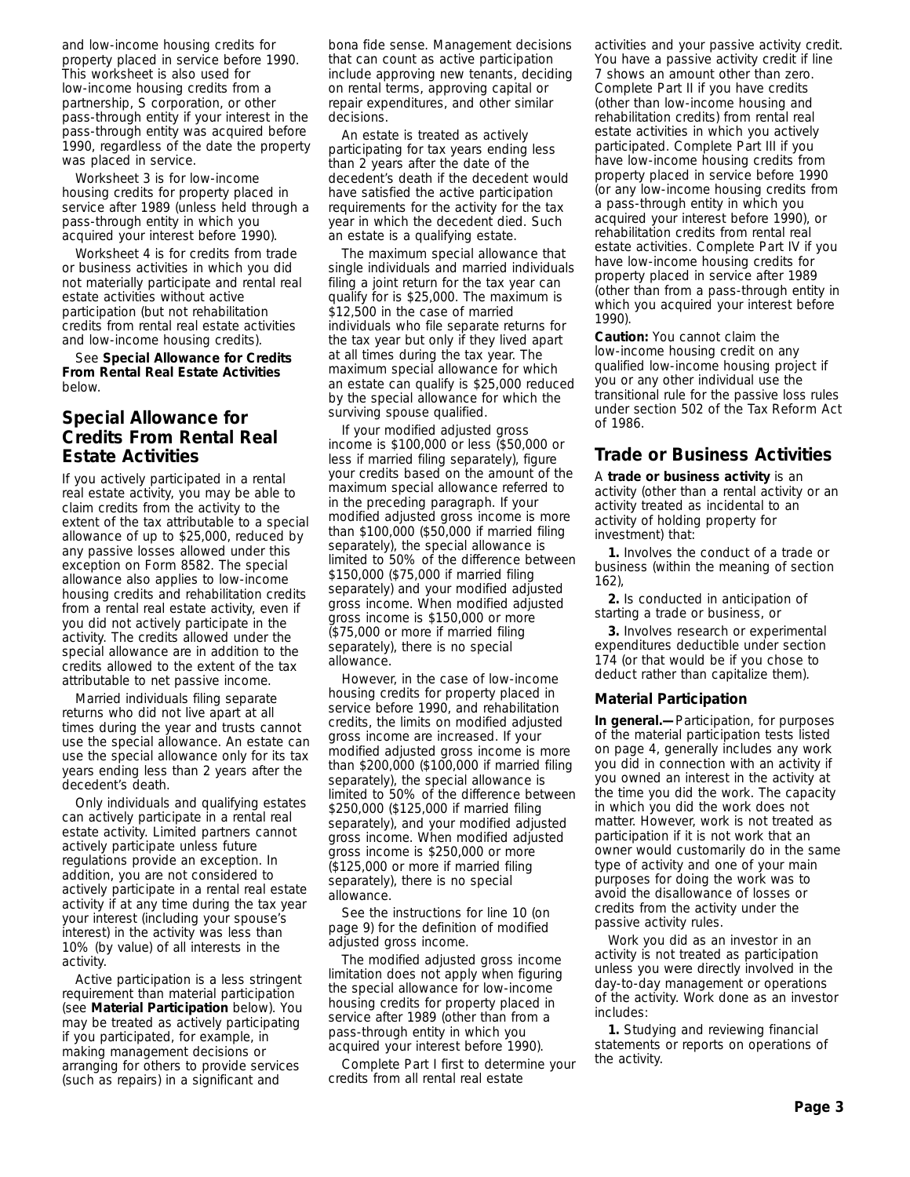and low-income housing credits for property placed in service before 1990. This worksheet is also used for low-income housing credits from a partnership, S corporation, or other pass-through entity if your interest in the pass-through entity was acquired before 1990, regardless of the date the property was placed in service.

Worksheet 3 is for low-income housing credits for property placed in service after 1989 (unless held through a pass-through entity in which you acquired your interest before 1990).

Worksheet 4 is for credits from trade or business activities in which you did not materially participate and rental real estate activities without active participation (but not rehabilitation credits from rental real estate activities and low-income housing credits).

See **Special Allowance for Credits From Rental Real Estate Activities** below.

# **Special Allowance for Credits From Rental Real Estate Activities**

If you actively participated in a rental real estate activity, you may be able to claim credits from the activity to the extent of the tax attributable to a special allowance of up to \$25,000, reduced by any passive losses allowed under this exception on Form 8582. The special allowance also applies to low-income housing credits and rehabilitation credits from a rental real estate activity, even if you did not actively participate in the activity. The credits allowed under the special allowance are in addition to the credits allowed to the extent of the tax attributable to net passive income.

Married individuals filing separate returns who did not live apart at all times during the year and trusts cannot use the special allowance. An estate can use the special allowance only for its tax years ending less than 2 years after the decedent's death.

Only individuals and qualifying estates can actively participate in a rental real estate activity. Limited partners cannot actively participate unless future regulations provide an exception. In addition, you are not considered to actively participate in a rental real estate activity if at any time during the tax year your interest (including your spouse's interest) in the activity was less than 10% (by value) of all interests in the activity.

Active participation is a less stringent requirement than material participation (see **Material Participation** below). You may be treated as actively participating if you participated, for example, in making management decisions or arranging for others to provide services (such as repairs) in a significant and

bona fide sense. Management decisions that can count as active participation include approving new tenants, deciding on rental terms, approving capital or repair expenditures, and other similar decisions.

An estate is treated as actively participating for tax years ending less than 2 years after the date of the decedent's death if the decedent would have satisfied the active participation requirements for the activity for the tax year in which the decedent died. Such an estate is a qualifying estate.

The maximum special allowance that single individuals and married individuals filing a joint return for the tax year can qualify for is \$25,000. The maximum is \$12,500 in the case of married individuals who file separate returns for the tax year but only if they lived apart at all times during the tax year. The maximum special allowance for which an estate can qualify is \$25,000 reduced by the special allowance for which the surviving spouse qualified.

If your modified adjusted gross income is \$100,000 or less (\$50,000 or less if married filing separately), figure your credits based on the amount of the maximum special allowance referred to in the preceding paragraph. If your modified adjusted gross income is more than \$100,000 (\$50,000 if married filing separately), the special allowance is limited to 50% of the difference between \$150,000 (\$75,000 if married filing separately) and your modified adjusted gross income. When modified adjusted gross income is \$150,000 or more (\$75,000 or more if married filing separately), there is no special allowance.

However, in the case of low-income housing credits for property placed in service before 1990, and rehabilitation credits, the limits on modified adjusted gross income are increased. If your modified adjusted gross income is more than \$200,000 (\$100,000 if married filing separately), the special allowance is limited to 50% of the difference between \$250,000 (\$125,000 if married filing separately), and your modified adjusted gross income. When modified adjusted gross income is \$250,000 or more (\$125,000 or more if married filing separately), there is no special allowance.

See the instructions for line 10 (on page 9) for the definition of modified adjusted gross income.

The modified adjusted gross income limitation does not apply when figuring the special allowance for low-income housing credits for property placed in service after 1989 (other than from a pass-through entity in which you acquired your interest before 1990).

Complete Part I first to determine your credits from all rental real estate

activities and your passive activity credit. You have a passive activity credit if line 7 shows an amount other than zero. Complete Part II if you have credits (other than low-income housing and rehabilitation credits) from rental real estate activities in which you actively participated. Complete Part III if you have low-income housing credits from property placed in service before 1990 (or any low-income housing credits from a pass-through entity in which you acquired your interest before 1990), or rehabilitation credits from rental real estate activities. Complete Part IV if you have low-income housing credits for property placed in service after 1989 (other than from a pass-through entity in which you acquired your interest before 1990).

**Caution:** *You cannot claim the low-income housing credit on any qualified low-income housing project if you or any other individual use the transitional rule for the passive loss rules under section 502 of the Tax Reform Act of 1986.*

## **Trade or Business Activities**

A **trade or business activity** is an activity (other than a rental activity or an activity treated as incidental to an activity of holding property for investment) that:

**1.** Involves the conduct of a trade or business (within the meaning of section 162),

**2.** Is conducted in anticipation of starting a trade or business, or

**3.** Involves research or experimental expenditures deductible under section 174 (or that would be if you chose to deduct rather than capitalize them).

#### **Material Participation**

**In general.—**Participation, for purposes of the material participation tests listed on page 4, generally includes any work you did in connection with an activity if you owned an interest in the activity at the time you did the work. The capacity in which you did the work does not matter. However, work is not treated as participation if it is not work that an owner would customarily do in the same type of activity and one of your main purposes for doing the work was to avoid the disallowance of losses or credits from the activity under the passive activity rules.

Work you did as an investor in an activity is not treated as participation unless you were directly involved in the day-to-day management or operations of the activity. Work done as an investor includes:

**1.** Studying and reviewing financial statements or reports on operations of the activity.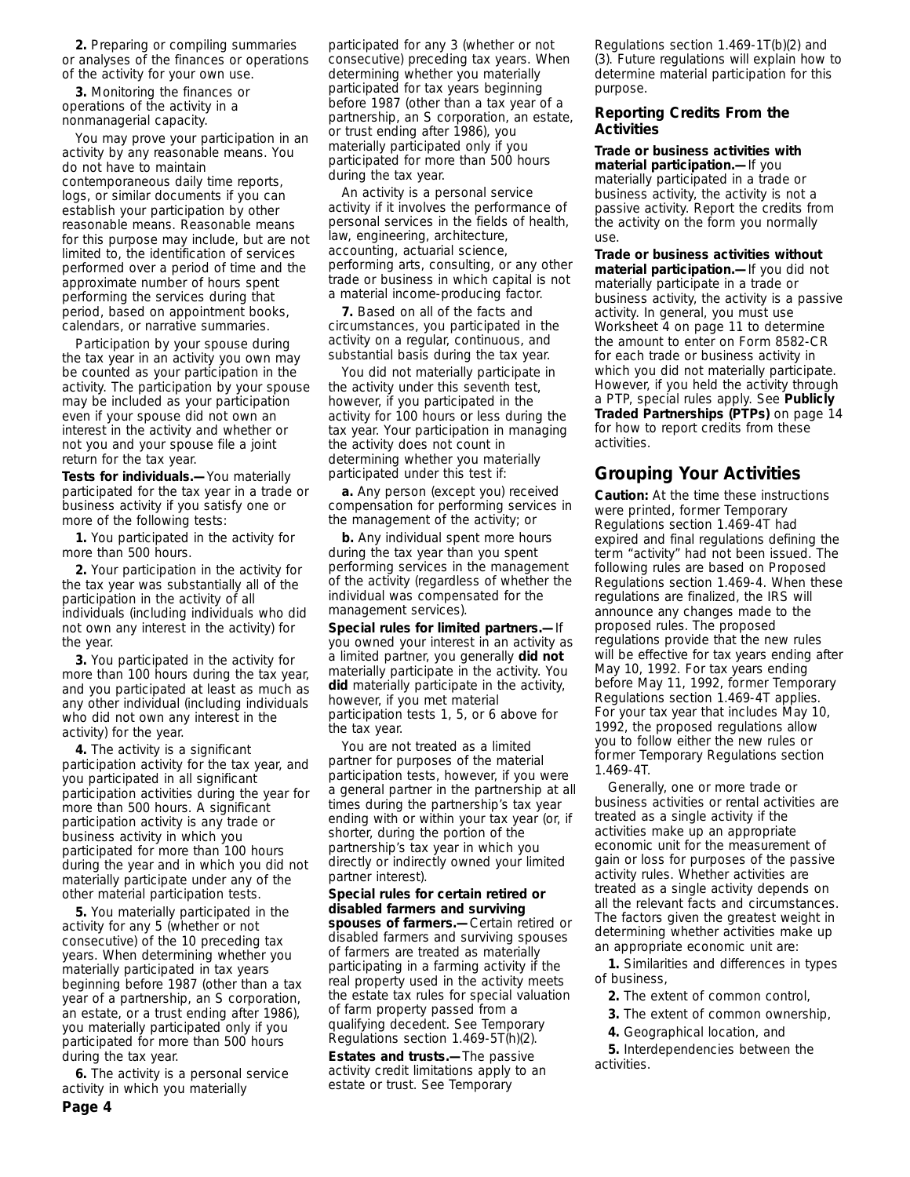**2.** Preparing or compiling summaries or analyses of the finances or operations of the activity for your own use.

**3.** Monitoring the finances or operations of the activity in a nonmanagerial capacity.

You may prove your participation in an activity by any reasonable means. You do not have to maintain contemporaneous daily time reports, logs, or similar documents if you can establish your participation by other reasonable means. Reasonable means for this purpose may include, but are not limited to, the identification of services performed over a period of time and the approximate number of hours spent performing the services during that period, based on appointment books, calendars, or narrative summaries.

Participation by your spouse during the tax year in an activity you own may be counted as your participation in the activity. The participation by your spouse may be included as your participation even if your spouse did not own an interest in the activity and whether or not you and your spouse file a joint return for the tax year.

**Tests for individuals.—**You materially participated for the tax year in a trade or business activity if you satisfy one or more of the following tests:

**1.** You participated in the activity for more than 500 hours.

**2.** Your participation in the activity for the tax year was substantially all of the participation in the activity of all individuals (including individuals who did not own any interest in the activity) for the year.

**3.** You participated in the activity for more than 100 hours during the tax year, and you participated at least as much as any other individual (including individuals who did not own any interest in the activity) for the year.

**4.** The activity is a significant participation activity for the tax year, and you participated in all significant participation activities during the year for more than 500 hours. A significant participation activity is any trade or business activity in which you participated for more than 100 hours during the year and in which you did not materially participate under any of the other material participation tests.

**5.** You materially participated in the activity for any 5 (whether or not consecutive) of the 10 preceding tax years. When determining whether you materially participated in tax years beginning before 1987 (other than a tax year of a partnership, an S corporation, an estate, or a trust ending after 1986), you materially participated only if you participated for more than 500 hours during the tax year.

**6.** The activity is a personal service activity in which you materially

participated for any 3 (whether or not consecutive) preceding tax years. When determining whether you materially participated for tax years beginning before 1987 (other than a tax year of a partnership, an S corporation, an estate, or trust ending after 1986), you materially participated only if you participated for more than 500 hours during the tax year.

An activity is a personal service activity if it involves the performance of personal services in the fields of health, law, engineering, architecture, accounting, actuarial science, performing arts, consulting, or any other trade or business in which capital is not a material income-producing factor.

**7.** Based on all of the facts and circumstances, you participated in the activity on a regular, continuous, and substantial basis during the tax year.

You did not materially participate in the activity under this seventh test, however, if you participated in the activity for 100 hours or less during the tax year. Your participation in managing the activity does not count in determining whether you materially participated under this test if:

**a.** Any person (except you) received compensation for performing services in the management of the activity; or

**b.** Any individual spent more hours during the tax year than you spent performing services in the management of the activity (regardless of whether the individual was compensated for the management services).

**Special rules for limited partners.—**If you owned your interest in an activity as a limited partner, you generally **did not** materially participate in the activity. You **did** materially participate in the activity, however, if you met material participation tests 1, 5, or 6 above for the tax year.

You are not treated as a limited partner for purposes of the material participation tests, however, if you were a general partner in the partnership at all times during the partnership's tax year ending with or within your tax year (or, if shorter, during the portion of the partnership's tax year in which you directly or indirectly owned your limited partner interest).

**Special rules for certain retired or disabled farmers and surviving spouses of farmers.—**Certain retired or disabled farmers and surviving spouses of farmers are treated as materially participating in a farming activity if the real property used in the activity meets the estate tax rules for special valuation of farm property passed from a qualifying decedent. See Temporary Regulations section 1.469-5T(h)(2).

**Estates and trusts.—**The passive activity credit limitations apply to an estate or trust. See Temporary

Regulations section 1.469-1T(b)(2) and (3). Future regulations will explain how to determine material participation for this purpose.

#### **Reporting Credits From the Activities**

**Trade or business activities with material participation.—**If you materially participated in a trade or business activity, the activity is not a passive activity. Report the credits from the activity on the form you normally use.

**Trade or business activities without material participation.—**If you did not materially participate in a trade or business activity, the activity is a passive activity. In general, you must use Worksheet 4 on page 11 to determine the amount to enter on Form 8582-CR for each trade or business activity in which you did not materially participate. However, if you held the activity through a PTP, special rules apply. See **Publicly Traded Partnerships (PTPs)** on page 14 for how to report credits from these activities.

# **Grouping Your Activities**

**Caution:** *At the time these instructions were printed, former Temporary Regulations section 1.469-4T had expired and final regulations defining the term "activity" had not been issued. The following rules are based on Proposed Regulations section 1.469-4. When these regulations are finalized, the IRS will announce any changes made to the proposed rules. The proposed regulations provide that the new rules will be effective for tax years ending after May 10, 1992. For tax years ending before May 11, 1992, former Temporary Regulations section 1.469-4T applies. For your tax year that includes May 10, 1992, the proposed regulations allow you to follow either the new rules or former Temporary Regulations section 1.469-4T.*

Generally, one or more trade or business activities or rental activities are treated as a single activity if the activities make up an appropriate economic unit for the measurement of gain or loss for purposes of the passive activity rules. Whether activities are treated as a single activity depends on all the relevant facts and circumstances. The factors given the greatest weight in determining whether activities make up an appropriate economic unit are:

**1.** Similarities and differences in types of business,

**2.** The extent of common control,

- **3.** The extent of common ownership,
- **4.** Geographical location, and

**5.** Interdependencies between the activities.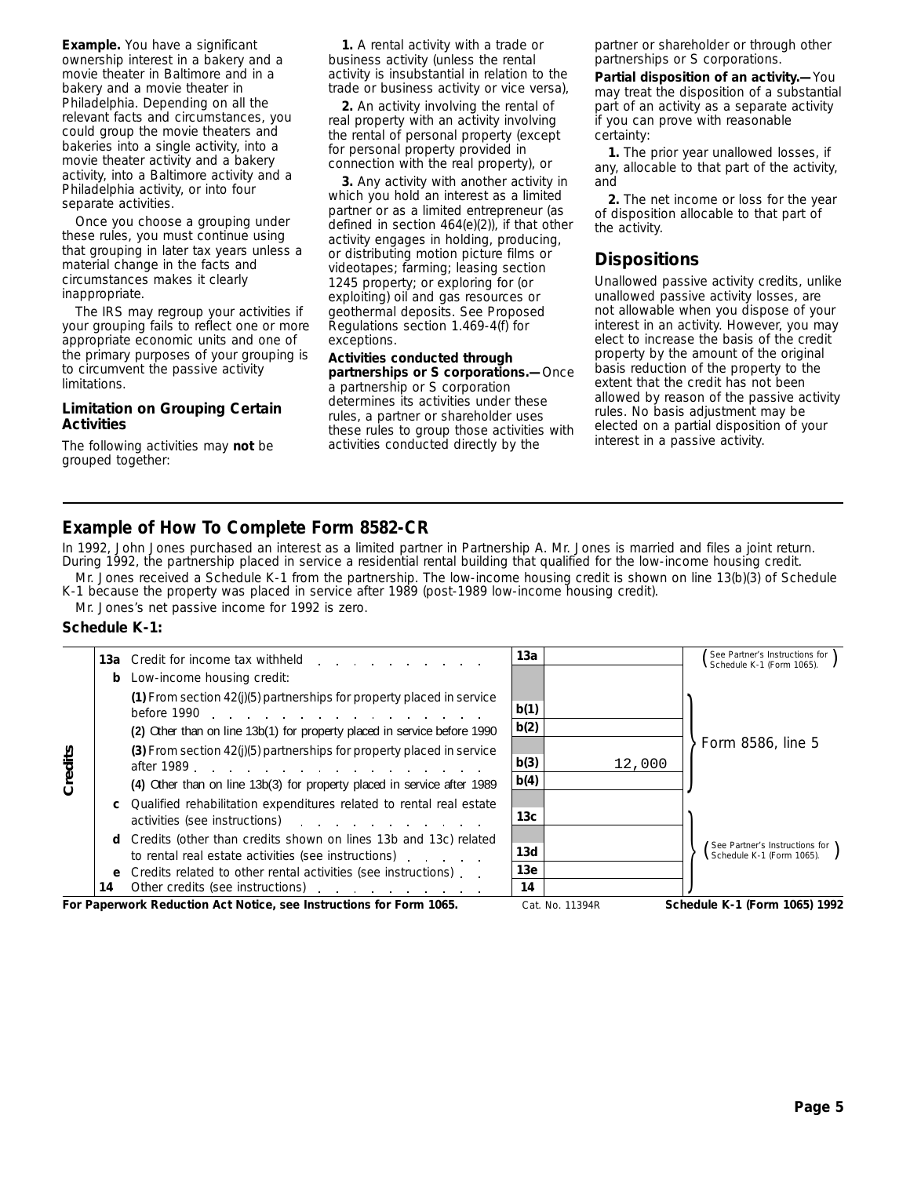**Example.** You have a significant ownership interest in a bakery and a movie theater in Baltimore and in a bakery and a movie theater in Philadelphia. Depending on all the relevant facts and circumstances, you could group the movie theaters and bakeries into a single activity, into a movie theater activity and a bakery activity, into a Baltimore activity and a Philadelphia activity, or into four separate activities.

Once you choose a grouping under these rules, you must continue using that grouping in later tax years unless a material change in the facts and circumstances makes it clearly inappropriate.

The IRS may regroup your activities if your grouping fails to reflect one or more appropriate economic units and one of the primary purposes of your grouping is to circumvent the passive activity limitations.

#### **Limitation on Grouping Certain Activities**

The following activities may **not** be grouped together:

**1.** A rental activity with a trade or business activity (unless the rental activity is insubstantial in relation to the trade or business activity or vice versa),

**2.** An activity involving the rental of real property with an activity involving the rental of personal property (except for personal property provided in connection with the real property), or

**3.** Any activity with another activity in which you hold an interest as a limited partner or as a limited entrepreneur (as defined in section 464(e)(2)), if that other activity engages in holding, producing, or distributing motion picture films or videotapes; farming; leasing section 1245 property; or exploring for (or exploiting) oil and gas resources or geothermal deposits. See Proposed Regulations section 1.469-4(f) for exceptions.

**Activities conducted through partnerships or S corporations.—**Once a partnership or S corporation determines its activities under these rules, a partner or shareholder uses these rules to group those activities with activities conducted directly by the

partner or shareholder or through other partnerships or S corporations.

**Partial disposition of an activity.—**You may treat the disposition of a substantial part of an activity as a separate activity if you can prove with reasonable certainty:

**1.** The prior year unallowed losses, if any, allocable to that part of the activity, and

**2.** The net income or loss for the year of disposition allocable to that part of the activity.

# **Dispositions**

Unallowed passive activity credits, unlike unallowed passive activity losses, are not allowable when you dispose of your interest in an activity. However, you may elect to increase the basis of the credit property by the amount of the original basis reduction of the property to the extent that the credit has not been allowed by reason of the passive activity rules. No basis adjustment may be elected on a partial disposition of your interest in a passive activity.

# **Example of How To Complete Form 8582-CR**

Mr. Jones received a Schedule K-1 from the partnership. The low-income housing credit is shown on line 13(b)(3) of Schedule In 1992, John Jones purchased an interest as a limited partner in Partnership A. Mr. Jones is married and files a joint return. During 1992, the partnership placed in service a residential rental building that qualified for the low-income housing credit.

K-1 because the property was placed in service after 1989 (post-1989 low-income housing credit).

Mr. Jones's net passive income for 1992 is zero.

#### **Schedule K-1:**

|         |          |                                                                                                                                                                                                                                                                                                                                                                                                                                                                                                             | 13a                                 |                 | See Partner's Instructions for<br>Schedule K-1 (Form 1065). $\blacksquare$ |
|---------|----------|-------------------------------------------------------------------------------------------------------------------------------------------------------------------------------------------------------------------------------------------------------------------------------------------------------------------------------------------------------------------------------------------------------------------------------------------------------------------------------------------------------------|-------------------------------------|-----------------|----------------------------------------------------------------------------|
|         |          | <b>b</b> Low-income housing credit:<br>(1) From section $42(j)(5)$ partnerships for property placed in service<br>(2) Other than on line 13b(1) for property placed in service before 1990                                                                                                                                                                                                                                                                                                                  | b(1)<br>b(2)                        |                 | Form 8586, line 5                                                          |
| Credits |          | (3) From section $42(j)(5)$ partnerships for property placed in service<br>after 1989 and the state of the state of the state of the state of the state of the state of the state of the<br>(4) Other than on line 13b(3) for property placed in service after 1989<br>Qualified rehabilitation expenditures related to rental real estate                                                                                                                                                                  | b(3)<br>b(4)                        | 12,000          |                                                                            |
|         | d.<br>14 | activities (see instructions) and the control of the control of the control of the control of the control of the control of the control of the control of the control of the control of the control of the control of the cont<br>Credits (other than credits shown on lines 13b and 13c) related<br>to rental real estate activities (see instructions)<br>e Credits related to other rental activities (see instructions).<br>Other credits (see instructions) example and the credits (see instructions) | 13 <sub>c</sub><br>13d<br>13e<br>14 |                 | See Partner's Instructions for \<br>Schedule K-1 (Form 1065). $\int$       |
|         |          | For Paperwork Reduction Act Notice, see Instructions for Form 1065.                                                                                                                                                                                                                                                                                                                                                                                                                                         |                                     | Cat. No. 11394R | Schedule K-1 (Form 1065) 1992                                              |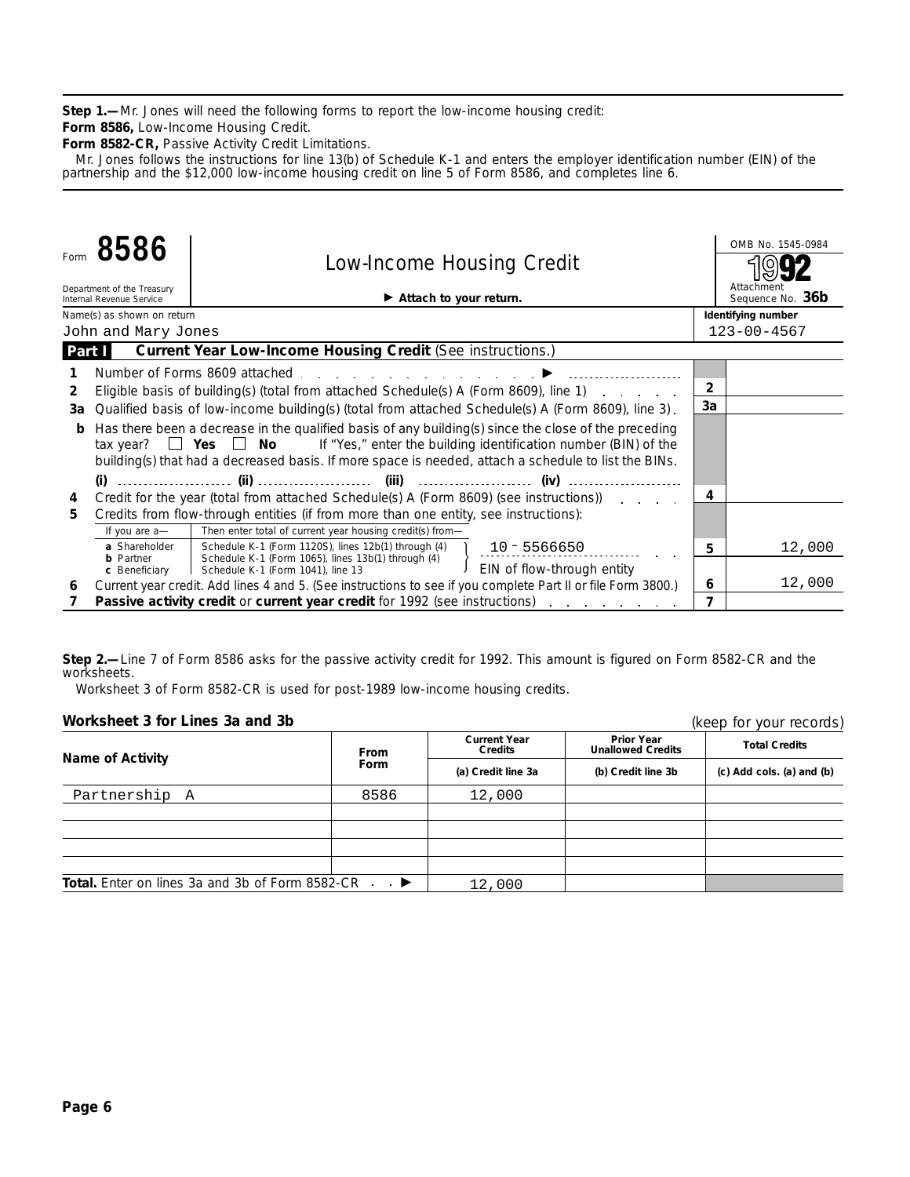**Step 1.—**Mr. Jones will need the following forms to report the low-income housing credit:

**Form 8586,** Low-Income Housing Credit.

**Form 8582-CR,** Passive Activity Credit Limitations.

Mr. Jones follows the instructions for line 13(b) of Schedule K-1 and enters the employer identification number (EIN) of the partnership and the \$12,000 low-income housing credit on line 5 of Form 8586, and completes line 6.

| Form   | 8586                                                   |                                   | <b>Low-Income Housing Credit</b>                                                                               |                                                                                                                                                                                                                                                                                                                |                | OMB No. 1545-0984              |
|--------|--------------------------------------------------------|-----------------------------------|----------------------------------------------------------------------------------------------------------------|----------------------------------------------------------------------------------------------------------------------------------------------------------------------------------------------------------------------------------------------------------------------------------------------------------------|----------------|--------------------------------|
|        | Department of the Treasury<br>Internal Revenue Service |                                   | Attach to your return.                                                                                         |                                                                                                                                                                                                                                                                                                                |                | Attachment<br>Sequence No. 36b |
|        | Name(s) as shown on return                             |                                   |                                                                                                                |                                                                                                                                                                                                                                                                                                                |                | Identifying number             |
|        | John and Mary Jones                                    |                                   |                                                                                                                |                                                                                                                                                                                                                                                                                                                |                | $123 - 00 - 4567$              |
| Part I |                                                        |                                   | Current Year Low-Income Housing Credit (See instructions.)                                                     |                                                                                                                                                                                                                                                                                                                |                |                                |
|        |                                                        |                                   | Number of Forms 8609 attached entitled and the same of the state of the state of the state of the state of the |                                                                                                                                                                                                                                                                                                                |                |                                |
| 2      |                                                        |                                   |                                                                                                                | Eligible basis of building(s) (total from attached Schedule(s) A (Form 8609), line 1)                                                                                                                                                                                                                          | $\overline{2}$ |                                |
| 3a     |                                                        |                                   |                                                                                                                | Qualified basis of low-income building(s) (total from attached Schedule(s) A (Form 8609), line 3).                                                                                                                                                                                                             | 3a             |                                |
| b      |                                                        |                                   |                                                                                                                | Has there been a decrease in the qualified basis of any building(s) since the close of the preceding<br>tax year? $\Box$ Yes $\Box$ No If "Yes," enter the building identification number (BIN) of the<br>building(s) that had a decreased basis. If more space is needed, attach a schedule to list the BINs. |                |                                |
|        | $(i)$                                                  |                                   |                                                                                                                | (iv)                                                                                                                                                                                                                                                                                                           |                |                                |
| 4      |                                                        |                                   |                                                                                                                | Credit for the year (total from attached Schedule(s) A (Form 8609) (see instructions) $\ldots$                                                                                                                                                                                                                 | 4              |                                |
| 5.     |                                                        |                                   | Credits from flow-through entities (if from more than one entity, see instructions):                           |                                                                                                                                                                                                                                                                                                                |                |                                |
|        | If you are a-                                          |                                   | Then enter total of current year housing credit(s) from-                                                       |                                                                                                                                                                                                                                                                                                                |                |                                |
|        | a Shareholder                                          |                                   | Schedule K-1 (Form 1120S), lines 12b(1) through (4)                                                            | $10 - 5566650$                                                                                                                                                                                                                                                                                                 | 5              | 12,000                         |
|        | <b>b</b> Partner<br>c Beneficiary                      | Schedule K-1 (Form 1041), line 13 | Schedule K-1 (Form 1065), lines 13b(1) through (4)                                                             | EIN of flow-through entity                                                                                                                                                                                                                                                                                     |                |                                |
| 6      |                                                        |                                   |                                                                                                                | Current year credit. Add lines 4 and 5. (See instructions to see if you complete Part II or file Form 3800.)                                                                                                                                                                                                   | 6              | 12,000                         |
|        |                                                        |                                   |                                                                                                                | Passive activity credit or current year credit for 1992 (see instructions)                                                                                                                                                                                                                                     | 7              |                                |

**Step 2.—**Line 7 of Form 8586 asks for the passive activity credit for 1992. This amount is figured on Form 8582-CR and the worksheets.

Worksheet 3 of Form 8582-CR is used for post-1989 low-income housing credits.

| Worksheet 3 for Lines 3a and 3b                                      |             |                                       |                                               | (keep for your records)         |  |
|----------------------------------------------------------------------|-------------|---------------------------------------|-----------------------------------------------|---------------------------------|--|
| <b>Name of Activity</b>                                              | From        | <b>Current Year</b><br><b>Credits</b> | <b>Prior Year</b><br><b>Unallowed Credits</b> | <b>Total Credits</b>            |  |
|                                                                      | <b>Form</b> | (a) Credit line 3a                    | (b) Credit line 3b                            | $(c)$ Add cols. $(a)$ and $(b)$ |  |
| Partnership A                                                        | 8586        | 12,000                                |                                               |                                 |  |
|                                                                      |             |                                       |                                               |                                 |  |
|                                                                      |             |                                       |                                               |                                 |  |
|                                                                      |             |                                       |                                               |                                 |  |
|                                                                      |             |                                       |                                               |                                 |  |
| <b>Total.</b> Enter on lines 3a and 3b of Form 8582-CR $\rightarrow$ |             | 12,000                                |                                               |                                 |  |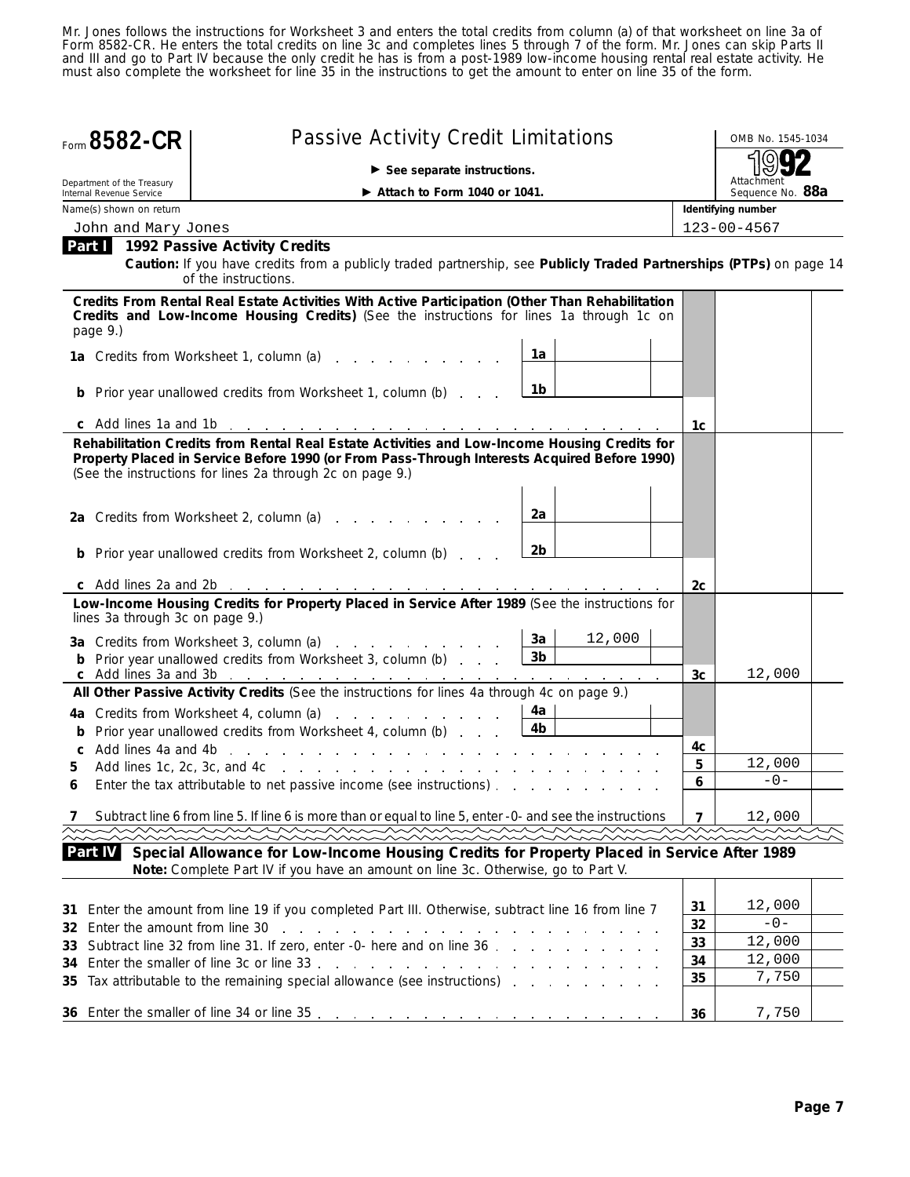Mr. Jones follows the instructions for Worksheet 3 and enters the total credits from column (a) of that worksheet on line 3a of Form 8582-CR. He enters the total credits on line 3c and completes lines 5 through 7 of the form. Mr. Jones can skip Parts II and III and go to Part IV because the only credit he has is from a post-1989 low-income housing rental real estate activity. He must also complete the worksheet for line 35 in the instructions to get the amount to enter on line 35 of the form.

|    | Form 8582-CR                                           | <b>Passive Activity Credit Limitations</b>                                                                                                                                                                                                                |                | OMB No. 1545-1034              |                |                   |
|----|--------------------------------------------------------|-----------------------------------------------------------------------------------------------------------------------------------------------------------------------------------------------------------------------------------------------------------|----------------|--------------------------------|----------------|-------------------|
|    |                                                        | $\blacktriangleright$ See separate instructions.                                                                                                                                                                                                          |                |                                |                |                   |
|    | Department of the Treasury<br>Internal Revenue Service | $\blacktriangleright$ Attach to Form 1040 or 1041.                                                                                                                                                                                                        |                | Attachment<br>Sequence No. 88a |                |                   |
|    | Name(s) shown on return                                |                                                                                                                                                                                                                                                           |                | Identifying number             |                |                   |
|    | John and Mary Jones                                    |                                                                                                                                                                                                                                                           |                |                                |                | $123 - 00 - 4567$ |
|    |                                                        | <b>Part 1992 Passive Activity Credits</b><br>Caution: If you have credits from a publicly traded partnership, see Publicly Traded Partnerships (PTPs) on page 14<br>of the instructions.                                                                  |                |                                |                |                   |
|    | page 9.)                                               | Credits From Rental Real Estate Activities With Active Participation (Other Than Rehabilitation<br>Credits and Low-Income Housing Credits) (See the instructions for lines 1a through 1c on                                                               |                |                                |                |                   |
|    |                                                        | 1a Credits from Worksheet 1, column (a)                                                                                                                                                                                                                   | 1a             |                                |                |                   |
|    |                                                        | <b>b</b> Prior year unallowed credits from Worksheet 1, column (b)                                                                                                                                                                                        | 1b             |                                |                |                   |
|    |                                                        |                                                                                                                                                                                                                                                           |                |                                | 1c             |                   |
|    |                                                        | Rehabilitation Credits from Rental Real Estate Activities and Low-Income Housing Credits for<br>Property Placed in Service Before 1990 (or From Pass-Through Interests Acquired Before 1990)<br>(See the instructions for lines 2a through 2c on page 9.) |                |                                |                |                   |
|    |                                                        | 2a Credits from Worksheet 2, column (a)                                                                                                                                                                                                                   | 2a             |                                |                |                   |
|    |                                                        | <b>b</b> Prior year unallowed credits from Worksheet 2, column (b)                                                                                                                                                                                        | 2b.            |                                |                |                   |
|    |                                                        |                                                                                                                                                                                                                                                           |                |                                | 2с             |                   |
|    | lines 3a through 3c on page 9.)                        | Low-Income Housing Credits for Property Placed in Service After 1989 (See the instructions for                                                                                                                                                            |                |                                |                |                   |
|    |                                                        | 3a Credits from Worksheet 3, column (a)                                                                                                                                                                                                                   | 3a             | 12,000                         |                |                   |
|    |                                                        | <b>b</b> Prior year unallowed credits from Worksheet 3, column (b)                                                                                                                                                                                        | 3 <sub>b</sub> |                                |                | 12,000            |
|    |                                                        | All Other Passive Activity Credits (See the instructions for lines 4a through 4c on page 9.)                                                                                                                                                              |                |                                | 3c             |                   |
|    |                                                        | 4a Credits from Worksheet 4, column (a)                                                                                                                                                                                                                   | 4a             |                                |                |                   |
|    |                                                        | <b>b</b> Prior year unallowed credits from Worksheet 4, column (b)                                                                                                                                                                                        | 4b             |                                |                |                   |
|    |                                                        |                                                                                                                                                                                                                                                           |                |                                | 4c             |                   |
| 5. |                                                        |                                                                                                                                                                                                                                                           |                |                                | 5              | 12,000            |
|    |                                                        | Enter the tax attributable to net passive income (see instructions)                                                                                                                                                                                       |                |                                | 6              | $-0-$             |
|    |                                                        | Subtract line 6 from line 5. If line 6 is more than or equal to line 5, enter -0- and see the instructions                                                                                                                                                |                |                                | $\overline{7}$ | 12,000            |
|    |                                                        |                                                                                                                                                                                                                                                           |                |                                |                |                   |
|    | Part IV                                                | Special Allowance for Low-Income Housing Credits for Property Placed in Service After 1989<br>Note: Complete Part IV if you have an amount on line 3c. Otherwise, go to Part V.                                                                           |                |                                |                |                   |
| 31 |                                                        | Enter the amount from line 19 if you completed Part III. Otherwise, subtract line 16 from line 7                                                                                                                                                          |                |                                | 31             | 12,000            |
| 32 | Enter the amount from line 30                          | the contract of the contract of the contract of the contract of the contract of                                                                                                                                                                           |                |                                | 32             | $-0-$             |
| 33 |                                                        | Subtract line 32 from line 31. If zero, enter -0- here and on line 36                                                                                                                                                                                     |                |                                | 33             | 12,000            |
| 34 |                                                        |                                                                                                                                                                                                                                                           |                |                                | 34             | 12,000            |
| 35 |                                                        | Tax attributable to the remaining special allowance (see instructions)                                                                                                                                                                                    |                |                                | 35             | 7,750             |
|    |                                                        |                                                                                                                                                                                                                                                           |                |                                | 36             | 7,750             |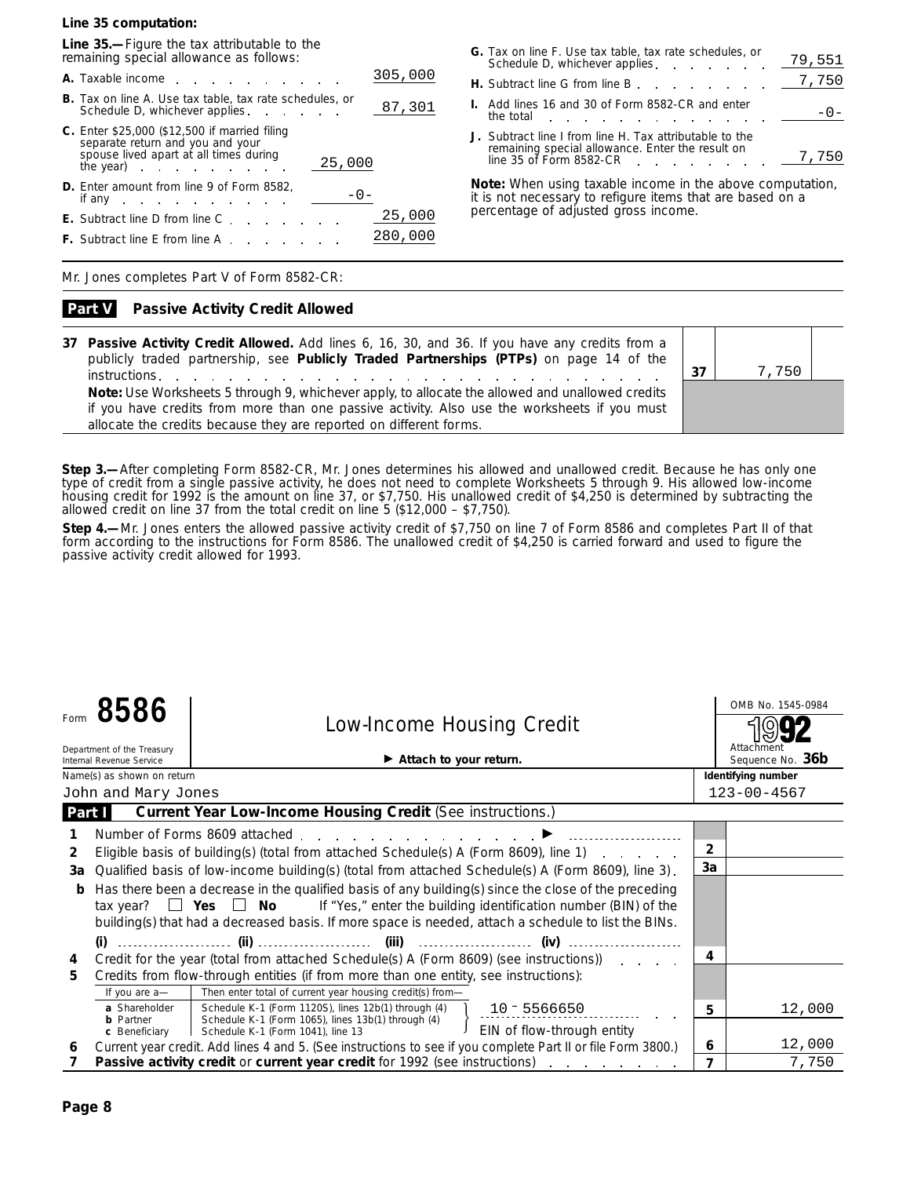**Line 35 computation:**

**Line 35.—**Figure the tax attributable to the remaining special allowance as follows:

| 305,000<br>A. Taxable income                                                                                                                                           |
|------------------------------------------------------------------------------------------------------------------------------------------------------------------------|
| <b>B.</b> Tax on line A. Use tax table, tax rate schedules, or<br>87,301<br>Schedule D, whichever applies                                                              |
| <b>C.</b> Enter \$25,000 (\$12,500 if married filing<br>separate return and you and your<br>spouse lived apart at all times during<br>25,000<br>the year) in the year. |
| <b>D.</b> Enter amount from line 9 of Form 8582,<br>if any<br>and the company of the company of the                                                                    |
| 25,000<br><b>E.</b> Subtract line D from line C                                                                                                                        |
| 280,000<br><b>F.</b> Subtract line E from line A.                                                                                                                      |

| G. Tax on line F. Use tax table, tax rate schedules, or<br>Schedule D, whichever applies _                                                                                                                                                                                        | 79,551 |
|-----------------------------------------------------------------------------------------------------------------------------------------------------------------------------------------------------------------------------------------------------------------------------------|--------|
| <b>H.</b> Subtract line G from line B $\frac{7,750}{\sqrt{25}}$                                                                                                                                                                                                                   |        |
| I. Add lines 16 and 30 of Form 8582-CR and enter<br>the total in the second in the total in the second in the second in the second in the second in the second in the second in the second in the second in the second in the second in the second in the second in the second in | $-0-$  |
| J. Subtract line I from line H. Tax attributable to the<br>remaining special allowance. Enter the result on<br>line 35 of Form 8582-CR                                                                                                                                            | 7,750  |

**Note:** *When using taxable income in the above computation, it is not necessary to refigure items that are based on a percentage of adjusted gross income.*

Mr. Jones completes Part V of Form 8582-CR:

#### **Passive Activity Credit Allowed Part V**

**37 Passive Activity Credit Allowed.** Add lines 6, 16, 30, and 36. If you have any credits from a publicly traded partnership, see **Publicly Traded Partnerships (PTPs)** on page 14 of the **instructions. 37 Note:** *Use Worksheets 5 through 9, whichever apply, to allocate the allowed and unallowed credits if you have credits from more than one passive activity. Also use the worksheets if you must allocate the credits because they are reported on different forms.*



**Step 3.—**After completing Form 8582-CR, Mr. Jones determines his allowed and unallowed credit. Because he has only one type of credit from a single passive activity, he does not need to complete Worksheets 5 through 9. His allowed low-income housing credit for 1992 is the amount on line 37, or \$7,750. His unallowed credit of \$4,250 is determined by subtracting the allowed credit on line 37 from the total credit on line 5 (\$12,000 – \$7,750).

**Step 4.—**Mr. Jones enters the allowed passive activity credit of \$7,750 on line 7 of Form 8586 and completes Part II of that form according to the instructions for Form 8586. The unallowed credit of \$4,250 is carried forward and used to figure the passive activity credit allowed for 1993.

|        | 8586<br>Department of the Treasury<br>Internal Revenue Service | <b>Low-Income Housing Credit</b><br>$\blacktriangleright$ Attach to your return.                                                                                                                                                                                                                        |                | OMB No. 1545-0984<br>Attachment<br>Sequence No. 36b |
|--------|----------------------------------------------------------------|---------------------------------------------------------------------------------------------------------------------------------------------------------------------------------------------------------------------------------------------------------------------------------------------------------|----------------|-----------------------------------------------------|
|        | Name(s) as shown on return                                     |                                                                                                                                                                                                                                                                                                         |                | Identifying number                                  |
|        | John and Mary Jones                                            |                                                                                                                                                                                                                                                                                                         |                | $123 - 00 - 4567$                                   |
| Part I |                                                                | <b>Current Year Low-Income Housing Credit (See instructions.)</b>                                                                                                                                                                                                                                       |                |                                                     |
|        |                                                                | Number of Forms 8609 attached entitled and the state of Forms 8609 attached and the state of the state of the                                                                                                                                                                                           |                |                                                     |
| 2      |                                                                | Eligible basis of building(s) (total from attached Schedule(s) A (Form 8609), line 1)<br>and a strategic and                                                                                                                                                                                            | $\overline{2}$ |                                                     |
| 3a     |                                                                | Qualified basis of low-income building(s) (total from attached Schedule(s) A (Form 8609), line 3).                                                                                                                                                                                                      | 3a             |                                                     |
| b      | tax year?                                                      | Has there been a decrease in the qualified basis of any building(s) since the close of the preceding<br>$\Box$ Yes $\Box$ No<br>If "Yes," enter the building identification number (BIN) of the<br>building(s) that had a decreased basis. If more space is needed, attach a schedule to list the BINs. |                |                                                     |
|        |                                                                |                                                                                                                                                                                                                                                                                                         |                |                                                     |
| 4      |                                                                | Credit for the year (total from attached Schedule(s) A (Form 8609) (see instructions) $\ldots$                                                                                                                                                                                                          | 4              |                                                     |
| 5.     |                                                                | Credits from flow-through entities (if from more than one entity, see instructions):                                                                                                                                                                                                                    |                |                                                     |
|        | If you are a-                                                  | Then enter total of current year housing credit(s) from-                                                                                                                                                                                                                                                |                |                                                     |
|        | a Shareholder<br><b>b</b> Partner                              | Schedule K-1 (Form 1120S), lines 12b(1) through (4)<br>$10 - 5566650$<br>Schedule K-1 (Form 1065), lines 13b(1) through (4)                                                                                                                                                                             | 5              | 12,000                                              |
|        | c Beneficiary                                                  | EIN of flow-through entity<br>Schedule K-1 (Form 1041), line 13                                                                                                                                                                                                                                         |                |                                                     |
| 6      |                                                                | Current year credit. Add lines 4 and 5. (See instructions to see if you complete Part II or file Form 3800.)                                                                                                                                                                                            | 6              | 12,000                                              |
|        |                                                                | Passive activity credit or current year credit for 1992 (see instructions)<br>and the company of the company of                                                                                                                                                                                         |                | 7,750                                               |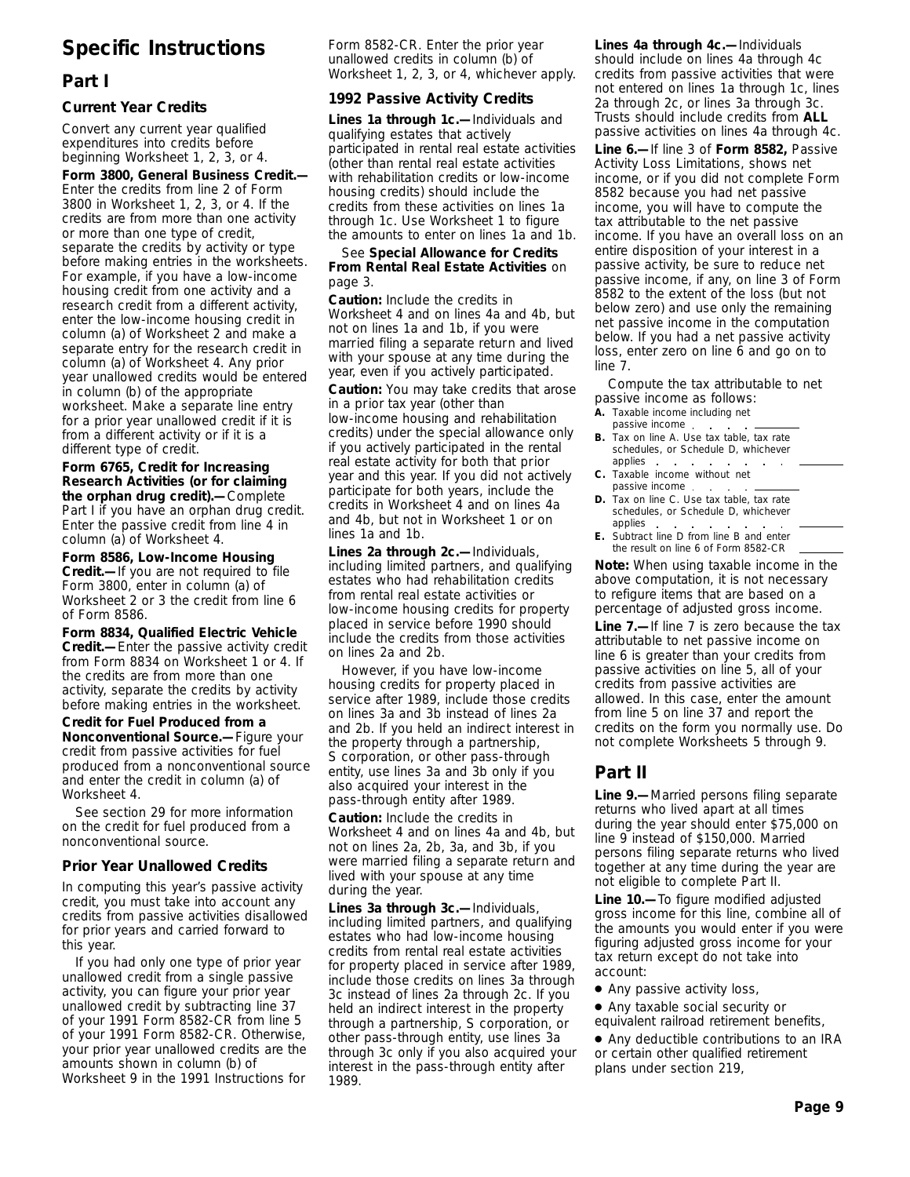# **Specific Instructions**

# **Part I**

#### **Current Year Credits**

Convert any current year qualified expenditures into credits before beginning Worksheet 1, 2, 3, or 4.

**Form 3800, General Business Credit.—** Enter the credits from line 2 of Form 3800 in Worksheet 1, 2, 3, or 4. If the credits are from more than one activity or more than one type of credit, separate the credits by activity or type before making entries in the worksheets. For example, if you have a low-income housing credit from one activity and a research credit from a different activity, enter the low-income housing credit in column (a) of Worksheet 2 and make a separate entry for the research credit in column (a) of Worksheet 4. Any prior year unallowed credits would be entered in column (b) of the appropriate worksheet. Make a separate line entry for a prior year unallowed credit if it is from a different activity or if it is a different type of credit.

**Form 6765, Credit for Increasing Research Activities (or for claiming the orphan drug credit).—**Complete Part I if you have an orphan drug credit. Enter the passive credit from line 4 in column (a) of Worksheet 4.

**Form 8586, Low-Income Housing Credit.—**If you are not required to file Form 3800, enter in column (a) of Worksheet 2 or 3 the credit from line 6 of Form 8586.

**Form 8834, Qualified Electric Vehicle Credit.—**Enter the passive activity credit from Form 8834 on Worksheet 1 or 4. If the credits are from more than one activity, separate the credits by activity before making entries in the worksheet.

**Credit for Fuel Produced from a Nonconventional Source.—**Figure your credit from passive activities for fuel produced from a nonconventional source and enter the credit in column (a) of Worksheet 4.

See section 29 for more information on the credit for fuel produced from a nonconventional source.

#### **Prior Year Unallowed Credits**

In computing this year's passive activity credit, you must take into account any credits from passive activities disallowed for prior years and carried forward to this year.

If you had only one type of prior year unallowed credit from a single passive activity, you can figure your prior year unallowed credit by subtracting line 37 of your 1991 Form 8582-CR from line 5 of your 1991 Form 8582-CR. Otherwise, your prior year unallowed credits are the amounts shown in column (b) of Worksheet 9 in the 1991 Instructions for

Form 8582-CR. Enter the prior year unallowed credits in column (b) of Worksheet 1, 2, 3, or 4, whichever apply.

#### **1992 Passive Activity Credits**

**Lines 1a through 1c.—**Individuals and qualifying estates that actively participated in rental real estate activities (other than rental real estate activities with rehabilitation credits or low-income housing credits) should include the credits from these activities on lines 1a through 1c. Use Worksheet 1 to figure the amounts to enter on lines 1a and 1b.

See **Special Allowance for Credits From Rental Real Estate Activities** on page 3.

**Caution:** *Include the credits in Worksheet 4 and on lines 4a and 4b, but not on lines 1a and 1b, if you were married filing a separate return and lived with your spouse at any time during the year, even if you actively participated.*

**Caution:** *You may take credits that arose in a prior tax year (other than low-income housing and rehabilitation credits) under the special allowance only if you actively participated in the rental real estate activity for both that prior year and this year. If you did not actively participate for both years, include the credits in Worksheet 4 and on lines 4a and 4b, but not in Worksheet 1 or on lines 1a and 1b.*

**Lines 2a through 2c.—**Individuals, including limited partners, and qualifying estates who had rehabilitation credits from rental real estate activities or low-income housing credits for property placed in service before 1990 should include the credits from those activities on lines 2a and 2b.

However, if you have low-income housing credits for property placed in service after 1989, include those credits on lines 3a and 3b instead of lines 2a and 2b. If you held an indirect interest in the property through a partnership, S corporation, or other pass-through entity, use lines 3a and 3b only if you also acquired your interest in the pass-through entity after 1989.

**Caution:** *Include the credits in Worksheet 4 and on lines 4a and 4b, but not on lines 2a, 2b, 3a, and 3b, if you were married filing a separate return and lived with your spouse at any time during the year.*

**Lines 3a through 3c.—**Individuals, including limited partners, and qualifying estates who had low-income housing credits from rental real estate activities for property placed in service after 1989, include those credits on lines 3a through 3c instead of lines 2a through 2c. If you held an indirect interest in the property through a partnership, S corporation, or other pass-through entity, use lines 3a through 3c only if you also acquired your interest in the pass-through entity after 1989.

**Lines 4a through 4c.—**Individuals should include on lines 4a through 4c credits from passive activities that were not entered on lines 1a through 1c, lines 2a through 2c, or lines 3a through 3c. Trusts should include credits from **ALL** passive activities on lines 4a through 4c.

**Line 6.—**If line 3 of **Form 8582,** Passive Activity Loss Limitations, shows net income, or if you did not complete Form 8582 because you had net passive income, you will have to compute the tax attributable to the net passive income. If you have an overall loss on an entire disposition of your interest in a passive activity, be sure to reduce net passive income, if any, on line 3 of Form 8582 to the extent of the loss (but not below zero) and use only the remaining net passive income in the computation below. If you had a net passive activity loss, enter zero on line 6 and go on to line 7.

Compute the tax attributable to net passive income as follows:

- **A.** Taxable income including net
- passive income **B.** Tax on line A. Use tax table, tax rate schedules, or Schedule D, whichever
- applies **C.** Taxable income without net passive income
- **D.** Tax on line C. Use tax table, tax rate schedules, or Schedule D, whichever applies.
- **E.** Subtract line D from line B and enter the result on line 6 of Form 8582-CR

**Note:** *When using taxable income in the above computation, it is not necessary to refigure items that are based on a percentage of adjusted gross income.*

**Line 7.—**If line 7 is zero because the tax attributable to net passive income on line 6 is greater than your credits from passive activities on line 5, all of your credits from passive activities are allowed. In this case, enter the amount from line 5 on line 37 and report the credits on the form you normally use. Do not complete Worksheets 5 through 9.

# **Part II**

**Line 9.—**Married persons filing separate returns who lived apart at all times during the year should enter \$75,000 on line 9 instead of \$150,000. Married persons filing separate returns who lived together at any time during the year are not eligible to complete Part II.

**Line 10.—**To figure modified adjusted gross income for this line, combine all of the amounts you would enter if you were figuring adjusted gross income for your tax return except do not take into account:

- Any passive activity loss,
- Any taxable social security or equivalent railroad retirement benefits,

● Any deductible contributions to an IRA or certain other qualified retirement plans under section 219,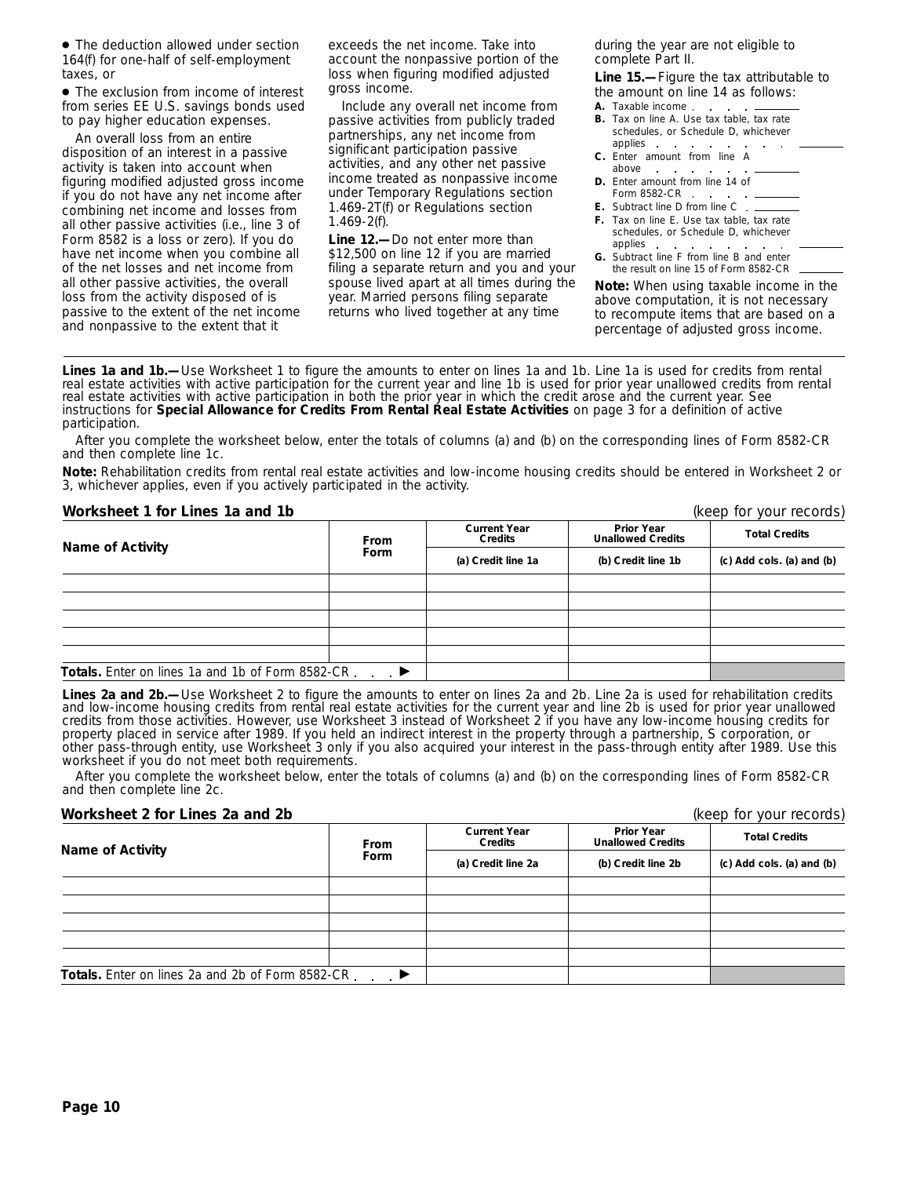● The deduction allowed under section 164(f) for one-half of self-employment taxes, or

● The exclusion from income of interest from series EE U.S. savings bonds used to pay higher education expenses.

An overall loss from an entire disposition of an interest in a passive activity is taken into account when figuring modified adjusted gross income if you do not have any net income after combining net income and losses from all other passive activities (i.e., line 3 of Form 8582 is a loss or zero). If you do have net income when you combine all of the net losses and net income from all other passive activities, the overall loss from the activity disposed of is passive to the extent of the net income and nonpassive to the extent that it

exceeds the net income. Take into account the nonpassive portion of the loss when figuring modified adjusted gross income.

Include any overall net income from passive activities from publicly traded partnerships, any net income from significant participation passive activities, and any other net passive income treated as nonpassive income under Temporary Regulations section 1.469-2T(f) or Regulations section 1.469-2(f).

**Line 12.—**Do not enter more than \$12,500 on line 12 if you are married filing a separate return and you and your spouse lived apart at all times during the year. Married persons filing separate returns who lived together at any time

during the year are not eligible to complete Part II.

**Line 15.—**Figure the tax attributable to the amount on line 14 as follows:

- **A.** Taxable income
- **B.** Tax on line A. Use tax table, tax rate schedules, or Schedule D, whichever applies
- **C.** Enter amount from line A above
- **D.** Enter amount from line 14 of Form 8582-CR
- **E.** Subtract line D from line C
- **F.** Tax on line E. Use tax table, tax rate schedules, or Schedule D, whichever applies
- **G.** Subtract line F from line B and enter the result on line 15 of Form 8582-CR

**Note:** *When using taxable income in the above computation, it is not necessary to recompute items that are based on a percentage of adjusted gross income.*

**Lines 1a and 1b.—**Use Worksheet 1 to figure the amounts to enter on lines 1a and 1b. Line 1a is used for credits from rental real estate activities with active participation for the current year and line 1b is used for prior year unallowed credits from rental real estate activities with active participation in both the prior year in which the credit arose and the current year. See instructions for **Special Allowance for Credits From Rental Real Estate Activities** on page 3 for a definition of active participation.

After you complete the worksheet below, enter the totals of columns (a) and (b) on the corresponding lines of Form 8582-CR and then complete line 1c.

**Note:** *Rehabilitation credits from rental real estate activities and low-income housing credits should be entered in Worksheet 2 or 3, whichever applies, even if you actively participated in the activity.*

#### **Worksheet 1 for Lines 1a and 1b** (keep for your records)

|                                                   | <b>From</b>    | <b>Current Year</b><br>Credits | <b>Prior Year</b><br><b>Unallowed Credits</b> | <b>Total Credits</b><br>(c) Add cols. (a) and (b) |  |
|---------------------------------------------------|----------------|--------------------------------|-----------------------------------------------|---------------------------------------------------|--|
| <b>Name of Activity</b>                           | Form           | (a) Credit line 1a             | (b) Credit line 1b                            |                                                   |  |
|                                                   |                |                                |                                               |                                                   |  |
|                                                   |                |                                |                                               |                                                   |  |
|                                                   |                |                                |                                               |                                                   |  |
|                                                   |                |                                |                                               |                                                   |  |
|                                                   |                |                                |                                               |                                                   |  |
| Totals. Enter on lines 1a and 1b of Form 8582-CR. | $\blacksquare$ |                                |                                               |                                                   |  |

Lines 2a and 2b.—Use Worksheet 2 to figure the amounts to enter on lines 2a and 2b. Line 2a is used for rehabilitation credits and low-income housing credits from rental real estate activities for the current year and line 2b is used for prior year unallowed credits from those activities. However, use Worksheet 3 instead of Worksheet 2 if you have any low-income housing credits for property placed in service after 1989. If you held an indirect interest in the property through a partnership, S corporation, or other pass-through entity, use Worksheet 3 only if you also acquired your interest in the pass-through entity after 1989. Use this worksheet if you do not meet both requirements.

After you complete the worksheet below, enter the totals of columns (a) and (b) on the corresponding lines of Form 8582-CR and then complete line 2c.

#### **Worksheet 2 for Lines 2a and 2b** (keep for your records)

| <b>Name of Activity</b>                          | From | <b>Current Year</b><br>Credits | <b>Prior Year</b><br><b>Unallowed Credits</b> | <b>Total Credits</b>      |  |
|--------------------------------------------------|------|--------------------------------|-----------------------------------------------|---------------------------|--|
|                                                  | Form | (a) Credit line 2a             | (b) Credit line 2b                            | (c) Add cols. (a) and (b) |  |
|                                                  |      |                                |                                               |                           |  |
|                                                  |      |                                |                                               |                           |  |
|                                                  |      |                                |                                               |                           |  |
|                                                  |      |                                |                                               |                           |  |
|                                                  |      |                                |                                               |                           |  |
| Totals. Enter on lines 2a and 2b of Form 8582-CR |      |                                |                                               |                           |  |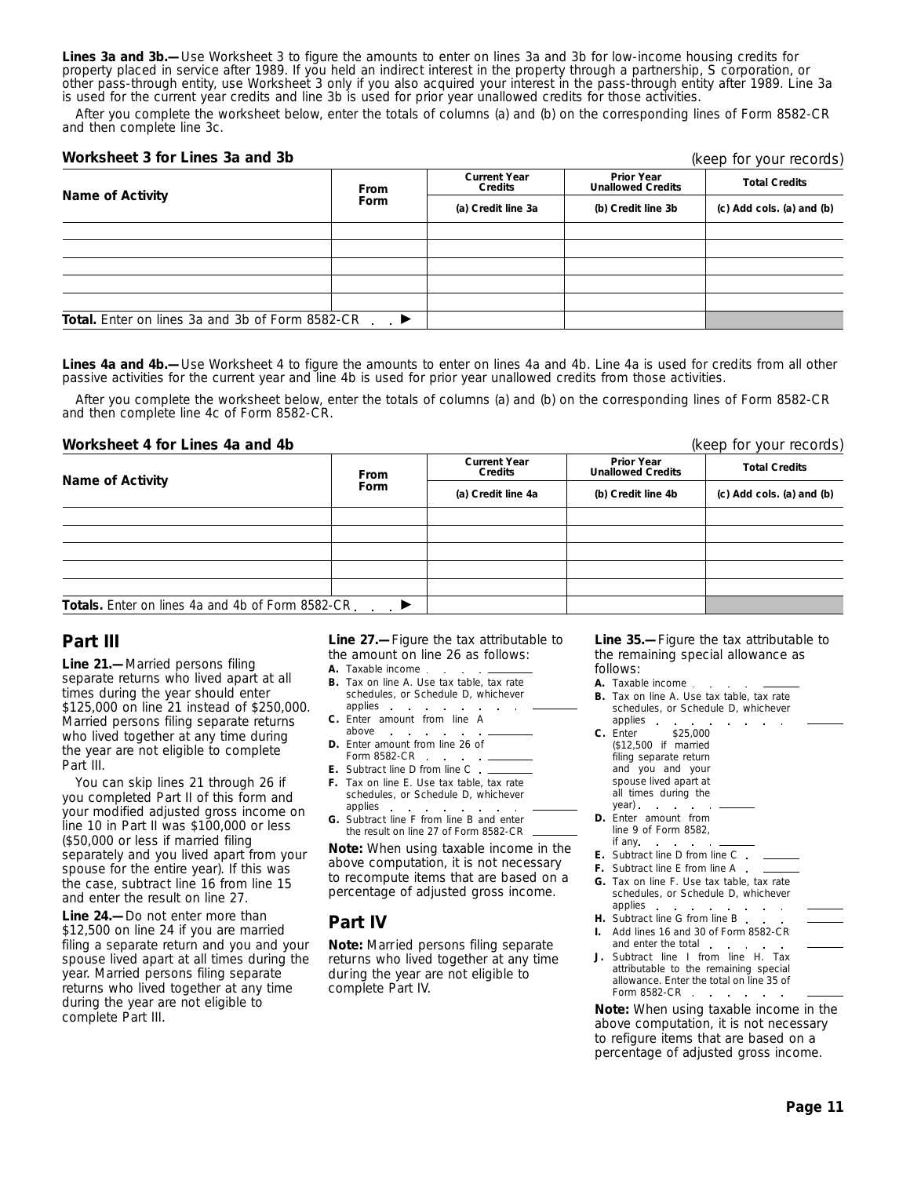**Lines 3a and 3b.—**Use Worksheet 3 to figure the amounts to enter on lines 3a and 3b for low-income housing credits for property placed in service after 1989. If you held an indirect interest in the property through a partnership, S corporation, or other pass-through entity, use Worksheet 3 only if you also acquired your interest in the pass-through entity after 1989. Line 3a is used for the current year credits and line 3b is used for prior year unallowed credits for those activities.

After you complete the worksheet below, enter the totals of columns (a) and (b) on the corresponding lines of Form 8582-CR and then complete line 3c.

#### **Worksheet 3 for Lines 3a and 3b**

|                                                        | From        | <b>Current Year</b><br>Credits | <b>Prior Year</b><br><b>Unallowed Credits</b> | <b>Total Credits</b>      |
|--------------------------------------------------------|-------------|--------------------------------|-----------------------------------------------|---------------------------|
| Name of Activity                                       | <b>Form</b> | (a) Credit line 3a             | (b) Credit line 3b                            | (c) Add cols. (a) and (b) |
|                                                        |             |                                |                                               |                           |
|                                                        |             |                                |                                               |                           |
|                                                        |             |                                |                                               |                           |
|                                                        |             |                                |                                               |                           |
|                                                        |             |                                |                                               |                           |
| <b>Total.</b> Enter on lines 3a and 3b of Form 8582-CR |             |                                |                                               |                           |

Lines 4a and 4b.—Use Worksheet 4 to figure the amounts to enter on lines 4a and 4b. Line 4a is used for credits from all other passive activities for the current year and line 4b is used for prior year unallowed credits from those activities.

After you complete the worksheet below, enter the totals of columns (a) and (b) on the corresponding lines of Form 8582-CR and then complete line 4c of Form 8582-CR.

#### **Worksheet 4 for Lines 4a and 4b** (keep for your records)

**Prior Year Unallowed Credits Current Year CONFIGENT CREAD CONFIGENT CREDITS ISSUE CREDIT CREDIT CREDIT CREDIT CREDIT CREDIT CREDIT CREDIT CREDIT CREDIT CREDIT CREDIT CREDIT CREDIT CREDIT CREDIT CREDIT CREDIT CREDIT CREDIT CREDIT CREDIT CREDIT CREDIT CREDIT CREDIT** Totals. Enter on lines 4a and 4b of Form 8582-CR.  $\overline{\phantom{a}}$ 

## **Part III**

**Line 21.—**Married persons filing separate returns who lived apart at all times during the year should enter \$125,000 on line 21 instead of \$250,000. Married persons filing separate returns who lived together at any time during the year are not eligible to complete Part III.

You can skip lines 21 through 26 if you completed Part II of this form and your modified adjusted gross income on line 10 in Part II was \$100,000 or less (\$50,000 or less if married filing separately and you lived apart from your spouse for the entire year). If this was the case, subtract line 16 from line 15 and enter the result on line 27.

**Line 24.—**Do not enter more than \$12,500 on line 24 if you are married filing a separate return and you and your spouse lived apart at all times during the year. Married persons filing separate returns who lived together at any time during the year are not eligible to complete Part III.

**Line 27.—**Figure the tax attributable to the amount on line 26 as follows:

- **A.** Taxable income
- **B.** Tax on line A. Use tax table, tax rate schedules, or Schedule D, whichever applies  $\sim$
- **C.** Enter amount from line A above
- **D.** Enter amount from line 26 of Form 8582-CR
- **E.** Subtract line D from line C
- **F.** Tax on line E. Use tax table, tax rate schedules, or Schedule D, whichever applies
- **G.** Subtract line F from line B and enter the result on line 27 of Form 8582-CR

**Note:** *When using taxable income in the above computation, it is not necessary to recompute items that are based on a percentage of adjusted gross income.*

# **Part IV**

**Note:** *Married persons filing separate returns who lived together at any time during the year are not eligible to complete Part IV.*

**Line 35.—**Figure the tax attributable to the remaining special allowance as follows:

- **A.** Taxable income
- **B.** Tax on line A. Use tax table, tax rate schedules, or Schedule D, whichever applies **Contract**
- **C.** Enter \$25,000 (\$12,500 if married filing separate return and you and your spouse lived apart at all times during the year). . .
- **D.** Enter amount from line 9 of Form 8582, if any
- **E.** Subtract line D from line C.
- **F.** Subtract line E from line A
- **G.** Tax on line F. Use tax table, tax rate schedules, or Schedule D, whichever applies . .
- **Service Control H.** Subtract line G from line B.
- **I.** Add lines 16 and 30 of Form 8582-CR and enter the total . .
- Subtract line I from line H. Tax attributable to the remaining special allowance. Enter the total on line 35 of Form 8582-CR . . . . .

**Note:** *When using taxable income in the above computation, it is not necessary to refigure items that are based on a percentage of adjusted gross income.*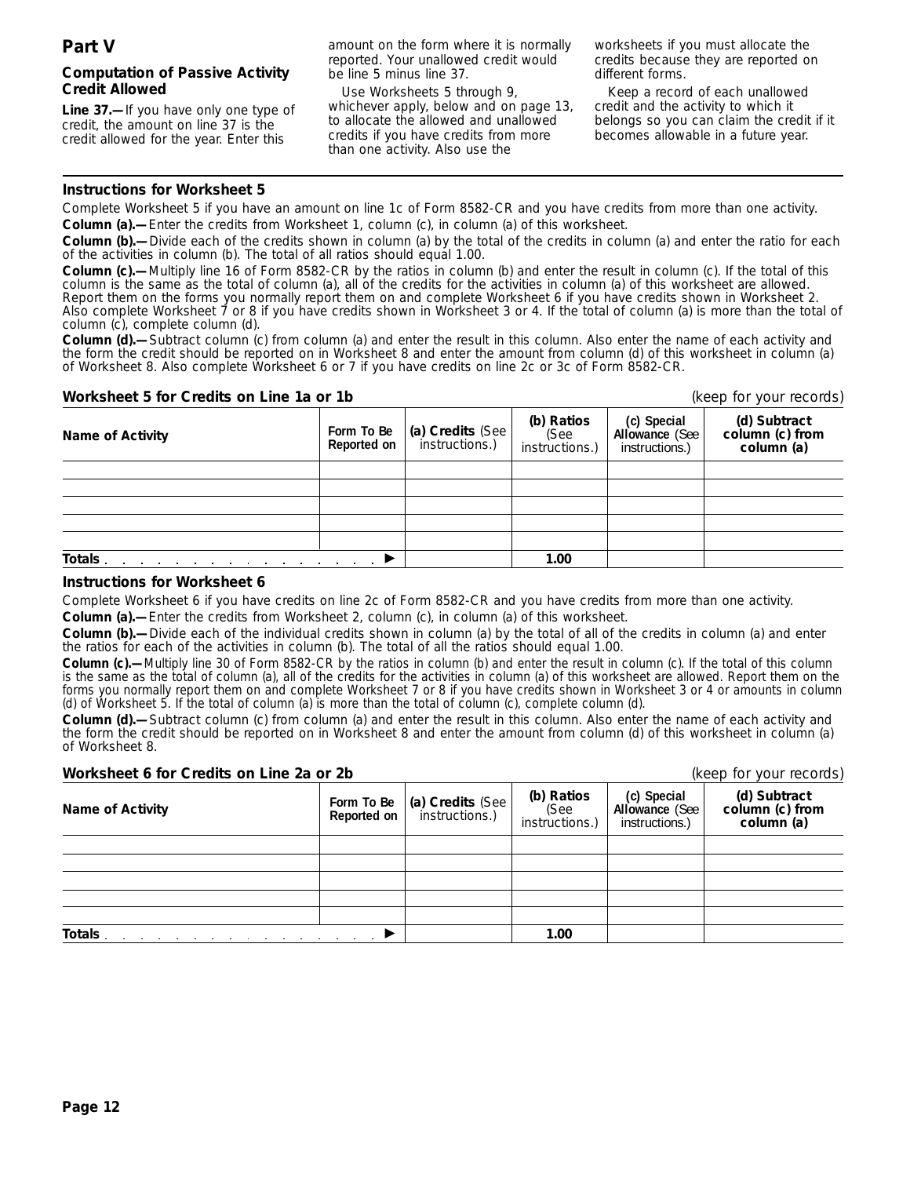#### **Computation of Passive Activity Credit Allowed**

**Line 37.—**If you have only one type of credit, the amount on line 37 is the credit allowed for the year. Enter this

amount on the form where it is normally reported. Your unallowed credit would be line 5 minus line 37.

Use Worksheets 5 through 9, whichever apply, below and on page 13, to allocate the allowed and unallowed credits if you have credits from more than one activity. Also use the

worksheets if you must allocate the credits because they are reported on different forms.

Keep a record of each unallowed credit and the activity to which it belongs so you can claim the credit if it becomes allowable in a future year.

#### **Instructions for Worksheet 5**

Complete Worksheet 5 if you have an amount on line 1c of Form 8582-CR and you have credits from more than one activity. **Column (a).—**Enter the credits from Worksheet 1, column (c), in column (a) of this worksheet.

**Column (b).—**Divide each of the credits shown in column (a) by the total of the credits in column (a) and enter the ratio for each of the activities in column (b). The total of all ratios should equal 1.00.

**Column (c).—**Multiply line 16 of Form 8582-CR by the ratios in column (b) and enter the result in column (c). If the total of this column is the same as the total of column (a), all of the credits for the activities in column (a) of this worksheet are allowed. Report them on the forms you normally report them on and complete Worksheet 6 if you have credits shown in Worksheet 2. Also complete Worksheet 7 or 8 if you have credits shown in Worksheet 3 or 4. If the total of column (a) is more than the total of column (c), complete column (d).

**Column (d).—**Subtract column (c) from column (a) and enter the result in this column. Also enter the name of each activity and the form the credit should be reported on in Worksheet 8 and enter the amount from column (d) of this worksheet in column (a) of Worksheet 8. Also complete Worksheet 6 or 7 if you have credits on line 2c or 3c of Form 8582-CR.

#### **Worksheet 5 for Credits on Line 1a or 1b** (keep for your records)

| <b>Name of Activity</b> | Form To Be<br>Reported on | (a) Credits (See | (b) Ratios<br>(See<br>instructions.) | (c) Special<br>Allowance (See<br>instructions.) | (d) Subtract<br>column (c) from<br>column (a) |
|-------------------------|---------------------------|------------------|--------------------------------------|-------------------------------------------------|-----------------------------------------------|
|                         |                           |                  |                                      |                                                 |                                               |
|                         |                           |                  |                                      |                                                 |                                               |
|                         |                           |                  |                                      |                                                 |                                               |
|                         |                           |                  |                                      |                                                 |                                               |
|                         |                           |                  |                                      |                                                 |                                               |
| Totals                  |                           |                  | 1.00                                 |                                                 |                                               |

#### **Instructions for Worksheet 6**

Complete Worksheet 6 if you have credits on line 2c of Form 8582-CR and you have credits from more than one activity.

**Column (a).—**Enter the credits from Worksheet 2, column (c), in column (a) of this worksheet.

**Column (b).—**Divide each of the individual credits shown in column (a) by the total of all of the credits in column (a) and enter the ratios for each of the activities in column (b). The total of all the ratios should equal 1.00.

**Column (c).—**Multiply line 30 of Form 8582-CR by the ratios in column (b) and enter the result in column (c). If the total of this column is the same as the total of column (a), all of the credits for the activities in column (a) of this worksheet are allowed. Report them on the forms you normally report them on and complete Worksheet 7 or 8 if you have credits shown in Worksheet 3 or 4 or amounts in column (d) of Worksheet 5. If the total of column (a) is more than the total of column (c), complete column (d).

**Column (d).—**Subtract column (c) from column (a) and enter the result in this column. Also enter the name of each activity and the form the credit should be reported on in Worksheet 8 and enter the amount from column (d) of this worksheet in column (a) of Worksheet 8.

#### **Worksheet 6 for Credits on Line 2a or 2b** (keep for your records)

| <u>WOLKSIKULU IUL ULUURS ULLEIIU ZU UL ZD</u> |                           |                                                 |                                      |                                                 | INCONTROL YOUR TOODING                        |
|-----------------------------------------------|---------------------------|-------------------------------------------------|--------------------------------------|-------------------------------------------------|-----------------------------------------------|
| <b>Name of Activity</b>                       | Form To Be<br>Reported on | $\vert$ (a) Credits (See $\vert$ instructions.) | (b) Ratios<br>(See<br>instructions.) | (c) Special<br>Allowance (See<br>instructions.) | (d) Subtract<br>column (c) from<br>column (a) |
|                                               |                           |                                                 |                                      |                                                 |                                               |
|                                               |                           |                                                 |                                      |                                                 |                                               |
|                                               |                           |                                                 |                                      |                                                 |                                               |
|                                               |                           |                                                 |                                      |                                                 |                                               |
|                                               |                           |                                                 |                                      |                                                 |                                               |
| Totals                                        |                           |                                                 | 1.00                                 |                                                 |                                               |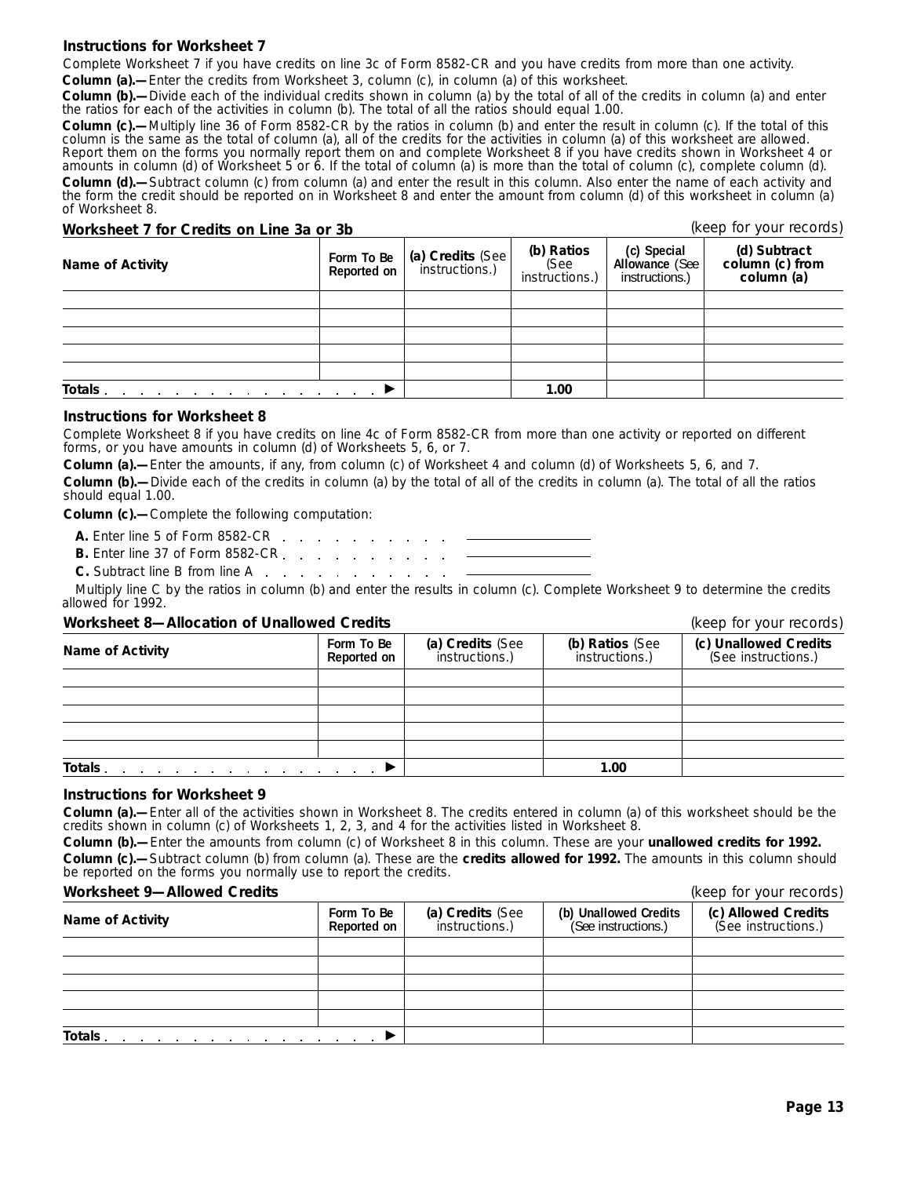#### **Instructions for Worksheet 7**

Complete Worksheet 7 if you have credits on line 3c of Form 8582-CR and you have credits from more than one activity. **Column (a).—**Enter the credits from Worksheet 3, column (c), in column (a) of this worksheet.

**Column (b).—**Divide each of the individual credits shown in column (a) by the total of all of the credits in column (a) and enter the ratios for each of the activities in column (b). The total of all the ratios should equal 1.00.

**Column (c).—**Multiply line 36 of Form 8582-CR by the ratios in column (b) and enter the result in column (c). If the total of this column is the same as the total of column (a), all of the credits for the activities in column (a) of this worksheet are allowed. Report them on the forms you normally report them on and complete Worksheet 8 if you have credits shown in Worksheet 4 or amounts in column (d) of Worksheet 5 or 6. If the total of column (a) is more than the total of column (c), complete column (d). **Column (d).—**Subtract column (c) from column (a) and enter the result in this column. Also enter the name of each activity and the form the credit should be reported on in Worksheet 8 and enter the amount from column (d) of this worksheet in column (a) of Worksheet 8.

#### **Worksheet 7 for Credits on Line 3a or 3b** (keep for your records)

| Name of Activity                                                           | Form To Be<br>Reported on | (a) Credits (See<br>instructions.) | (b) Ratios<br>(See<br>instructions.) | (c) Special<br>Allowance (See<br>instructions.) | (d) Subtract<br>column (c) from<br>column (a) |
|----------------------------------------------------------------------------|---------------------------|------------------------------------|--------------------------------------|-------------------------------------------------|-----------------------------------------------|
|                                                                            |                           |                                    |                                      |                                                 |                                               |
|                                                                            |                           |                                    |                                      |                                                 |                                               |
|                                                                            |                           |                                    |                                      |                                                 |                                               |
|                                                                            |                           |                                    |                                      |                                                 |                                               |
|                                                                            |                           |                                    |                                      |                                                 |                                               |
| Totals.<br>the contract of the contract of the contract of the contract of |                           |                                    | 1.00                                 |                                                 |                                               |

#### **Instructions for Worksheet 8**

Complete Worksheet 8 if you have credits on line 4c of Form 8582-CR from more than one activity or reported on different forms, or you have amounts in column (d) of Worksheets 5, 6, or 7.

**Column (a).—**Enter the amounts, if any, from column (c) of Worksheet 4 and column (d) of Worksheets 5, 6, and 7. **Column (b).—**Divide each of the credits in column (a) by the total of all of the credits in column (a). The total of all the ratios should equal 1.00.

**Column (c).—**Complete the following computation:

**A.** Enter line 5 of Form 8582-CR

**B.** Enter line 37 of Form 8582-CR. . . . . . . .

**C.** Subtract line B from line A

Multiply line C by the ratios in column (b) and enter the results in column (c). Complete Worksheet 9 to determine the credits allowed for 1992.

#### **Worksheet 8—Allocation of Unallowed Credits** (keep for your records)

**(c) Unallowed Credits** (See instructions.) **(b) Ratios** (See instructions.) **(a) Credits** (See instructions.) **Form To Be Name of Activity Totals** © **1.00**

#### **Instructions for Worksheet 9**

**Column (a).—**Enter all of the activities shown in Worksheet 8. The credits entered in column (a) of this worksheet should be the credits shown in column (c) of Worksheets 1, 2, 3, and 4 for the activities listed in Worksheet 8.

**Column (b).—**Enter the amounts from column (c) of Worksheet 8 in this column. These are your **unallowed credits for 1992. Column (c).—**Subtract column (b) from column (a). These are the **credits allowed for 1992.** The amounts in this column should be reported on the forms you normally use to report the credits.

| Worksheet 9-Allowed Credits |  |
|-----------------------------|--|
|                             |  |

| <b>Name of Activity</b>                                                                                                                                                                                                        | Form To Be<br>Reported on | (a) Credits (See<br>instructions.) | (b) Unallowed Credits<br>(See instructions.) | (c) Allowed Credits<br>(See instructions.) |
|--------------------------------------------------------------------------------------------------------------------------------------------------------------------------------------------------------------------------------|---------------------------|------------------------------------|----------------------------------------------|--------------------------------------------|
|                                                                                                                                                                                                                                |                           |                                    |                                              |                                            |
|                                                                                                                                                                                                                                |                           |                                    |                                              |                                            |
|                                                                                                                                                                                                                                |                           |                                    |                                              |                                            |
|                                                                                                                                                                                                                                |                           |                                    |                                              |                                            |
|                                                                                                                                                                                                                                |                           |                                    |                                              |                                            |
| Totals and a series are a series and a series of the series of the series of the series of the series of the series of the series of the series of the series of the series of the series of the series of the series of the s |                           |                                    |                                              |                                            |

(keep for your records)